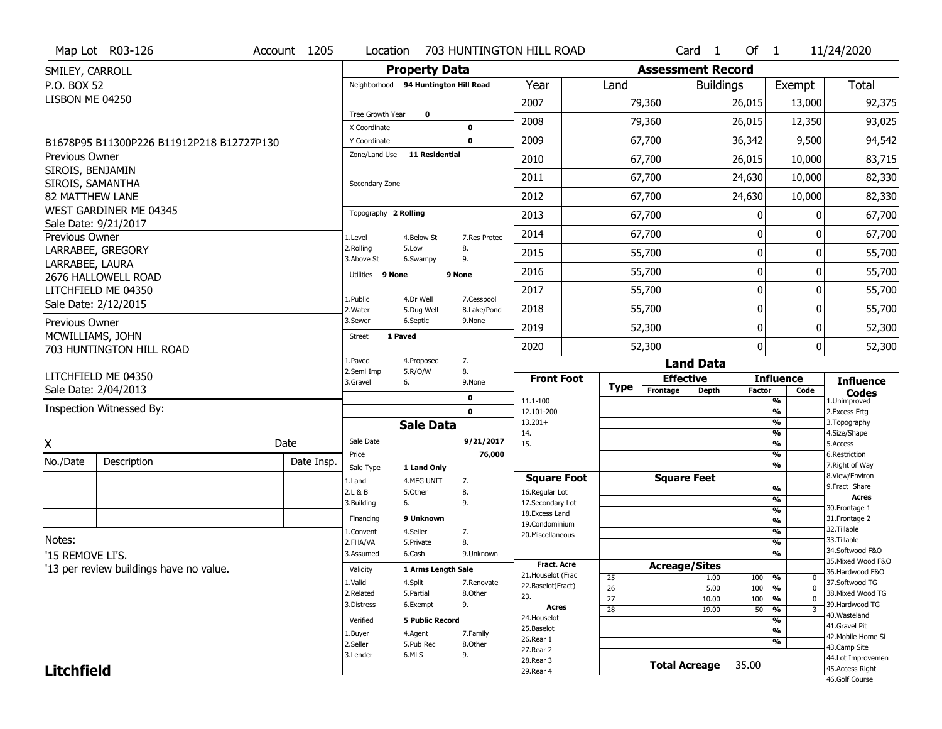|                        | Map Lot R03-126                           | Account 1205 | Location                                |                                      |                            | 703 HUNTINGTON HILL ROAD           |                      |                          | Card <sub>1</sub>  | Of $1$        |                                           | 11/24/2020                          |
|------------------------|-------------------------------------------|--------------|-----------------------------------------|--------------------------------------|----------------------------|------------------------------------|----------------------|--------------------------|--------------------|---------------|-------------------------------------------|-------------------------------------|
| SMILEY, CARROLL        |                                           |              |                                         | <b>Property Data</b>                 |                            |                                    |                      | <b>Assessment Record</b> |                    |               |                                           |                                     |
| P.O. BOX 52            |                                           |              |                                         | Neighborhood 94 Huntington Hill Road |                            | Year                               | Land                 |                          | <b>Buildings</b>   |               | Exempt                                    | Total                               |
| LISBON ME 04250        |                                           |              |                                         |                                      |                            | 2007                               |                      | 79,360                   |                    | 26,015        | 13,000                                    | 92,375                              |
|                        |                                           |              | <b>Tree Growth Year</b><br>X Coordinate | 0                                    |                            | 2008                               |                      | 79,360                   |                    | 26,015        | 12,350                                    | 93,025                              |
|                        | B1678P95 B11300P226 B11912P218 B12727P130 |              | Y Coordinate                            |                                      | $\mathbf 0$<br>$\mathbf 0$ | 2009                               |                      | 67,700                   |                    | 36,342        | 9,500                                     | 94,542                              |
| <b>Previous Owner</b>  |                                           |              | Zone/Land Use                           | <b>11 Residential</b>                |                            | 2010                               |                      | 67,700                   |                    | 26,015        | 10,000                                    | 83,715                              |
| SIROIS, BENJAMIN       |                                           |              |                                         |                                      |                            | 2011                               |                      | 67,700                   |                    | 24,630        | 10,000                                    | 82,330                              |
| SIROIS, SAMANTHA       |                                           |              | Secondary Zone                          |                                      |                            |                                    |                      |                          |                    |               |                                           |                                     |
| <b>82 MATTHEW LANE</b> | WEST GARDINER ME 04345                    |              |                                         |                                      |                            | 2012                               |                      | 67,700                   |                    | 24,630        | 10,000                                    | 82,330                              |
|                        | Sale Date: 9/21/2017                      |              | Topography 2 Rolling                    |                                      |                            | 2013                               |                      | 67,700                   |                    | 0             | 0                                         | 67,700                              |
| Previous Owner         |                                           |              | 1.Level                                 | 4.Below St                           | 7.Res Protec               | 2014                               |                      | 67,700                   |                    | 0             | 0                                         | 67,700                              |
|                        | LARRABEE, GREGORY                         |              | 2.Rolling<br>3.Above St                 | 5.Low<br>6.Swampy                    | 8.<br>9.                   | 2015                               |                      | 55,700                   |                    | 0             | 0                                         | 55,700                              |
| LARRABEE, LAURA        | 2676 HALLOWELL ROAD                       |              | Utilities                               | 9 None                               | 9 None                     | 2016                               |                      | 55,700                   |                    | 0             | 0                                         | 55,700                              |
|                        | LITCHFIELD ME 04350                       |              | 1.Public                                | 4.Dr Well                            | 7.Cesspool                 | 2017                               |                      | 55,700                   |                    | 0             | 0                                         | 55,700                              |
|                        | Sale Date: 2/12/2015                      |              | 2. Water                                | 5.Dug Well                           | 8.Lake/Pond                | 2018                               |                      | 55,700                   |                    | 0             | 0                                         | 55,700                              |
| Previous Owner         |                                           |              | 3.Sewer                                 | 6.Septic                             | 9.None                     | 2019                               |                      | 52,300                   |                    | 0             | 0                                         | 52,300                              |
| MCWILLIAMS, JOHN       | 703 HUNTINGTON HILL ROAD                  |              | <b>Street</b>                           | 1 Paved                              |                            | 2020                               |                      | 52,300                   |                    | 0             | $\overline{0}$                            | 52,300                              |
|                        |                                           |              | 1.Paved                                 | 4.Proposed                           | 7.                         |                                    |                      |                          | <b>Land Data</b>   |               |                                           |                                     |
|                        | LITCHFIELD ME 04350                       |              | 2.Semi Imp<br>3.Gravel                  | 5.R/O/W<br>6.                        | 8.<br>9.None               | <b>Front Foot</b>                  | <b>Type</b>          | <b>Effective</b>         |                    |               | <b>Influence</b>                          | <b>Influence</b>                    |
|                        | Sale Date: 2/04/2013                      |              |                                         |                                      | 0                          | 11.1-100                           |                      | Frontage                 | <b>Depth</b>       | <b>Factor</b> | Code<br>%                                 | <b>Codes</b><br>1.Unimproved        |
|                        | Inspection Witnessed By:                  |              |                                         |                                      | $\mathbf 0$                | 12.101-200                         |                      |                          |                    |               | $\frac{9}{6}$                             | 2. Excess Frtg                      |
|                        |                                           |              |                                         | <b>Sale Data</b>                     |                            | $13.201+$<br>14.                   |                      |                          |                    |               | $\frac{9}{6}$<br>$\frac{9}{6}$            | 3. Topography<br>4.Size/Shape       |
| Χ                      |                                           | Date         | Sale Date                               |                                      | 9/21/2017                  | 15.                                |                      |                          |                    |               | $\frac{9}{6}$                             | 5.Access                            |
| No./Date               | Description                               | Date Insp.   | Price<br>Sale Type                      | 1 Land Only                          | 76,000                     |                                    |                      |                          |                    |               | $\frac{9}{6}$<br>$\frac{9}{6}$            | 6.Restriction<br>7. Right of Way    |
|                        |                                           |              | 1.Land                                  | 4.MFG UNIT                           | 7.                         | <b>Square Foot</b>                 |                      |                          | <b>Square Feet</b> |               |                                           | 8.View/Environ                      |
|                        |                                           |              | 2.L & B                                 | 5.0ther                              | 8.                         | 16.Regular Lot                     |                      |                          |                    |               | $\frac{9}{6}$<br>$\overline{\frac{9}{6}}$ | 9.Fract Share<br><b>Acres</b>       |
|                        |                                           |              | 3.Building                              | 6.                                   | 9.                         | 17.Secondary Lot<br>18.Excess Land |                      |                          |                    |               | $\frac{9}{6}$                             | 30. Frontage 1                      |
|                        |                                           |              | Financing                               | 9 Unknown                            |                            | 19.Condominium                     |                      |                          |                    |               | $\overline{\frac{9}{6}}$                  | 31. Frontage 2<br>32.Tillable       |
| Notes:                 |                                           |              | 1.Convent                               | 4.Seller                             | 7.<br>8.                   | 20.Miscellaneous                   |                      |                          |                    |               | $\frac{9}{6}$<br>$\overline{\frac{9}{6}}$ | 33.Tillable                         |
| '15 REMOVE LI'S.       |                                           |              | 2.FHA/VA<br>3.Assumed                   | 5.Private<br>6.Cash                  | 9.Unknown                  |                                    |                      |                          |                    |               | $\frac{9}{6}$                             | 34.Softwood F&O                     |
|                        |                                           |              |                                         |                                      |                            | <b>Fract. Acre</b>                 |                      | <b>Acreage/Sites</b>     |                    |               |                                           | 35. Mixed Wood F&O                  |
|                        | '13 per review buildings have no value.   |              | Validity                                | 1 Arms Length Sale                   |                            | 21. Houselot (Frac                 | 25                   |                          | 1.00               | 100           | %<br>$\mathsf{U}$                         | 36.Hardwood F&O                     |
|                        |                                           |              | 1.Valid<br>2.Related                    | 4.Split                              | 7.Renovate<br>8.Other      | 22.Baselot(Fract)                  | 26                   |                          | 5.00               | 100 %         | $\mathbf 0$                               | 37.Softwood TG<br>38. Mixed Wood TG |
|                        |                                           |              | 3.Distress                              | 5.Partial<br>6.Exempt                | 9.                         | 23.                                | $\overline{27}$      |                          | 10.00              | 100           | %<br>$\mathbf 0$                          | 39.Hardwood TG                      |
|                        |                                           |              |                                         |                                      |                            | Acres<br>24. Houselot              | $\overline{28}$      |                          | 19.00              | $50 - 96$     | 3                                         | 40.Wasteland                        |
|                        |                                           |              | Verified                                | <b>5 Public Record</b>               |                            | 25.Baselot                         |                      |                          |                    |               | %<br>%                                    | 41.Gravel Pit                       |
|                        |                                           |              | 1.Buyer<br>2.Seller                     | 4.Agent                              | 7.Family                   | 26.Rear 1                          |                      |                          |                    |               | %                                         | 42. Mobile Home Si                  |
|                        |                                           |              |                                         | 5.Pub Rec<br>6.MLS                   | 8.Other<br>9.              | 27. Rear 2                         |                      |                          |                    |               |                                           | 43.Camp Site                        |
|                        |                                           | 3.Lender     |                                         |                                      | 28. Rear 3                 |                                    | <b>Total Acreage</b> |                          | 35.00              |               | 44.Lot Improvemen<br>45.Access Right      |                                     |
| <b>Litchfield</b>      |                                           |              |                                         |                                      |                            | 29. Rear 4                         |                      |                          |                    |               |                                           | 46.Golf Course                      |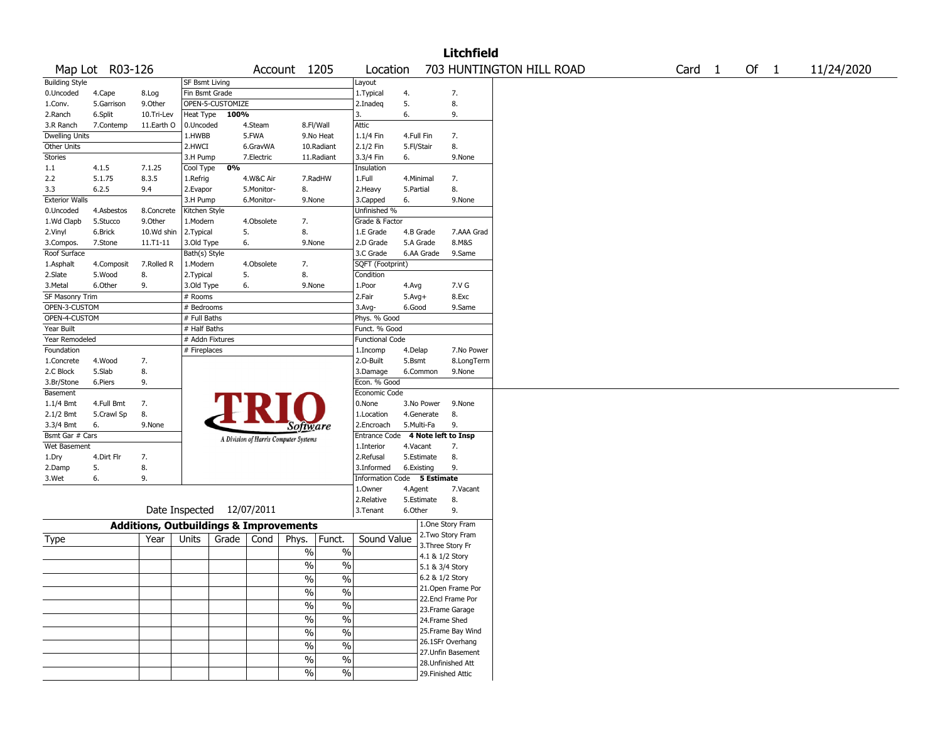|                          |                          |                                                   |                 |                           |            |                                       |                          |                          |            |                 | <b>Litchfield</b>   |                          |  |        |        |            |
|--------------------------|--------------------------|---------------------------------------------------|-----------------|---------------------------|------------|---------------------------------------|--------------------------|--------------------------|------------|-----------------|---------------------|--------------------------|--|--------|--------|------------|
|                          | Map Lot R03-126          |                                                   |                 |                           |            | Account 1205                          |                          | Location                 |            |                 |                     | 703 HUNTINGTON HILL ROAD |  | Card 1 | Of $1$ | 11/24/2020 |
| <b>Building Style</b>    |                          |                                                   | SF Bsmt Living  |                           |            |                                       |                          | Layout                   |            |                 |                     |                          |  |        |        |            |
| 0.Uncoded                | 4.Cape                   | 8.Log                                             | Fin Bsmt Grade  |                           |            |                                       |                          | 1.Typical                | 4.         |                 | 7.                  |                          |  |        |        |            |
| 1.Conv.                  | 5.Garrison               | 9.Other                                           |                 | OPEN-5-CUSTOMIZE          |            |                                       |                          | 2.Inadeq                 | 5.         |                 | 8.                  |                          |  |        |        |            |
| 2.Ranch                  | 6.Split                  | 10.Tri-Lev                                        | Heat Type       | 100%                      |            |                                       |                          | 3.                       | 6.         |                 | 9.                  |                          |  |        |        |            |
| 3.R Ranch                | 7.Contemp                | 11.Earth O                                        | 0.Uncoded       |                           | 4.Steam    |                                       | 8.Fl/Wall                | Attic                    |            |                 |                     |                          |  |        |        |            |
| <b>Dwelling Units</b>    |                          |                                                   | 1.HWBB          |                           | 5.FWA      |                                       | 9.No Heat                | 1.1/4 Fin                | 4.Full Fin |                 | 7.                  |                          |  |        |        |            |
| Other Units              |                          |                                                   | 2.HWCI          |                           | 6.GravWA   |                                       | 10.Radiant               | 2.1/2 Fin                | 5.Fl/Stair |                 | 8.                  |                          |  |        |        |            |
| Stories                  |                          |                                                   | 3.H Pump        |                           | 7.Electric |                                       | 11.Radiant               | 3.3/4 Fin                | 6.         |                 | 9.None              |                          |  |        |        |            |
| 1.1                      | 4.1.5                    | 7.1.25                                            | Cool Type       | 0%                        |            |                                       |                          | Insulation               |            |                 |                     |                          |  |        |        |            |
| 2.2                      | 5.1.75                   | 8.3.5                                             | 1.Refrig        |                           | 4.W&C Air  |                                       | 7.RadHW                  | 1.Full                   | 4.Minimal  |                 | 7.                  |                          |  |        |        |            |
| 3.3                      | 6.2.5                    | 9.4                                               | 2.Evapor        |                           | 5.Monitor- | 8.                                    |                          | 2.Heavy                  | 5.Partial  |                 | 8.                  |                          |  |        |        |            |
| <b>Exterior Walls</b>    |                          |                                                   | 3.H Pump        |                           | 6.Monitor- | 9.None                                |                          | 3.Capped                 | 6.         |                 | 9.None              |                          |  |        |        |            |
| 0.Uncoded                | 4.Asbestos               | 8.Concrete                                        | Kitchen Style   |                           |            |                                       |                          | Unfinished %             |            |                 |                     |                          |  |        |        |            |
| 1.Wd Clapb               | 5.Stucco                 | 9.0ther                                           | 1.Modern        |                           | 4.Obsolete | 7.                                    |                          | Grade & Factor           |            |                 |                     |                          |  |        |        |            |
| 2.Vinyl                  | 6.Brick                  | 10.Wd shin                                        | 2. Typical      |                           | 5.         | 8.                                    |                          | 1.E Grade                |            | 4.B Grade       | 7.AAA Grad          |                          |  |        |        |            |
| 3.Compos.                | 7.Stone                  | $11. T1 - 11$                                     | 3.Old Type      |                           | 6.         | 9.None                                |                          | 2.D Grade                |            | 5.A Grade       | 8.M&S               |                          |  |        |        |            |
| Roof Surface             |                          |                                                   | Bath(s) Style   |                           |            |                                       |                          | 3.C Grade                |            | 6.AA Grade      | 9.Same              |                          |  |        |        |            |
| 1.Asphalt                | 4.Composit               | 7.Rolled R                                        | 1.Modern        |                           | 4.Obsolete | 7.                                    |                          | SQFT (Footprint)         |            |                 |                     |                          |  |        |        |            |
| 2.Slate                  | 5.Wood                   | 8.                                                | 2. Typical      |                           | 5.         | 8.                                    |                          | Condition                |            |                 |                     |                          |  |        |        |            |
| 3. Metal                 | 6.Other                  | 9.                                                | 3.Old Type      |                           | 6.         | 9.None                                |                          | 1.Poor                   | 4.Avg      |                 | 7.V G               |                          |  |        |        |            |
| SF Masonry Trim          |                          |                                                   | # Rooms         |                           |            |                                       |                          | 2.Fair                   | $5.Avg+$   |                 | 8.Exc               |                          |  |        |        |            |
| OPEN-3-CUSTOM            |                          |                                                   | # Bedrooms      |                           |            |                                       |                          | 3.Avg-                   | 6.Good     |                 | 9.Same              |                          |  |        |        |            |
| OPEN-4-CUSTOM            |                          |                                                   | # Full Baths    |                           |            |                                       |                          | Phys. % Good             |            |                 |                     |                          |  |        |        |            |
| Year Built               |                          |                                                   | # Half Baths    |                           |            |                                       |                          | Funct. % Good            |            |                 |                     |                          |  |        |        |            |
| Year Remodeled           |                          |                                                   | # Addn Fixtures |                           |            |                                       |                          | <b>Functional Code</b>   |            |                 |                     |                          |  |        |        |            |
| Foundation               |                          |                                                   | # Fireplaces    |                           |            |                                       |                          | 1.Incomp                 | 4.Delap    |                 | 7.No Power          |                          |  |        |        |            |
| 1.Concrete               | 4.Wood                   | 7.                                                |                 |                           |            |                                       |                          | 2.O-Built                | 5.Bsmt     |                 | 8.LongTerm          |                          |  |        |        |            |
| 2.C Block                | 5.Slab                   | 8.                                                |                 |                           |            |                                       |                          | 3.Damage<br>Econ. % Good |            | 6.Common        | 9.None              |                          |  |        |        |            |
| 3.Br/Stone               | 6.Piers                  | 9.                                                |                 |                           |            |                                       |                          | Economic Code            |            |                 |                     |                          |  |        |        |            |
| Basement                 |                          |                                                   |                 |                           |            |                                       |                          | 0.None                   |            | 3.No Power      | 9.None              |                          |  |        |        |            |
| $1.1/4$ Bmt<br>2.1/2 Bmt | 4.Full Bmt<br>5.Crawl Sp | 7.<br>8.                                          |                 |                           |            |                                       |                          | 1.Location               |            | 4.Generate      | 8.                  |                          |  |        |        |            |
| 3.3/4 Bmt                | 6.                       | 9.None                                            |                 |                           |            |                                       |                          | 2.Encroach               |            | 5.Multi-Fa      | 9.                  |                          |  |        |        |            |
| Bsmt Gar # Cars          |                          |                                                   |                 |                           |            | <b>Software</b>                       |                          | <b>Entrance Code</b>     |            |                 | 4 Note left to Insp |                          |  |        |        |            |
| Wet Basement             |                          |                                                   |                 |                           |            | A Division of Harris Computer Systems |                          | 1.Interior               | 4.Vacant   |                 | 7.                  |                          |  |        |        |            |
| 1.Dry                    | 4.Dirt Flr               | 7.                                                |                 |                           |            |                                       |                          | 2.Refusal                |            | 5.Estimate      | 8.                  |                          |  |        |        |            |
| 2.Damp                   | 5.                       | 8.                                                |                 |                           |            |                                       |                          | 3.Informed               | 6.Existing |                 | 9.                  |                          |  |        |        |            |
| 3.Wet                    | 6.                       | 9.                                                |                 |                           |            |                                       |                          | <b>Information Code</b>  |            | 5 Estimate      |                     |                          |  |        |        |            |
|                          |                          |                                                   |                 |                           |            |                                       |                          | 1.Owner                  | 4.Agent    |                 | 7.Vacant            |                          |  |        |        |            |
|                          |                          |                                                   |                 |                           |            |                                       |                          | 2.Relative               |            | 5.Estimate      | 8.                  |                          |  |        |        |            |
|                          |                          |                                                   |                 | Date Inspected 12/07/2011 |            |                                       |                          | 3. Tenant                | 6.Other    |                 | 9.                  |                          |  |        |        |            |
|                          |                          | <b>Additions, Outbuildings &amp; Improvements</b> |                 |                           |            |                                       |                          |                          |            |                 | 1.One Story Fram    |                          |  |        |        |            |
|                          |                          |                                                   |                 |                           |            |                                       |                          |                          |            |                 | 2. Two Story Fram   |                          |  |        |        |            |
| Type                     |                          | Year                                              | Units           | Grade                     | Cond       | Phys.                                 | Funct.                   | Sound Value              |            |                 | 3. Three Story Fr   |                          |  |        |        |            |
|                          |                          |                                                   |                 |                           |            | $\%$                                  | $\%$                     |                          |            | 4.1 & 1/2 Story |                     |                          |  |        |        |            |
|                          |                          |                                                   |                 |                           |            | $\%$                                  | $\%$                     |                          |            | 5.1 & 3/4 Story |                     |                          |  |        |        |            |
|                          |                          |                                                   |                 |                           |            | $\sqrt{20}$                           | $\sqrt{20}$              |                          |            | 6.2 & 1/2 Story |                     |                          |  |        |        |            |
|                          |                          |                                                   |                 |                           |            | $\sqrt{20}$                           | $\frac{0}{0}$            |                          |            |                 | 21. Open Frame Por  |                          |  |        |        |            |
|                          |                          |                                                   |                 |                           |            |                                       |                          |                          |            |                 | 22.Encl Frame Por   |                          |  |        |        |            |
|                          |                          |                                                   |                 |                           |            | $\sqrt{6}$                            | $\%$                     |                          |            |                 | 23. Frame Garage    |                          |  |        |        |            |
|                          |                          |                                                   |                 |                           |            | $\sqrt{6}$                            | $\%$                     |                          |            | 24.Frame Shed   |                     |                          |  |        |        |            |
|                          |                          |                                                   |                 |                           |            | $\sqrt{6}$                            | $\overline{\frac{0}{0}}$ |                          |            |                 | 25. Frame Bay Wind  |                          |  |        |        |            |
|                          |                          |                                                   |                 |                           |            | $\sqrt{6}$                            | $\overline{\frac{0}{0}}$ |                          |            |                 | 26.1SFr Overhang    |                          |  |        |        |            |
|                          |                          |                                                   |                 |                           |            |                                       |                          |                          |            |                 | 27.Unfin Basement   |                          |  |        |        |            |
|                          |                          |                                                   |                 |                           |            | $\sqrt{6}$                            | $\overline{\frac{0}{0}}$ |                          |            |                 | 28. Unfinished Att  |                          |  |        |        |            |
|                          |                          |                                                   |                 |                           |            | $\sqrt{20}$                           | $\%$                     |                          |            |                 | 29. Finished Attic  |                          |  |        |        |            |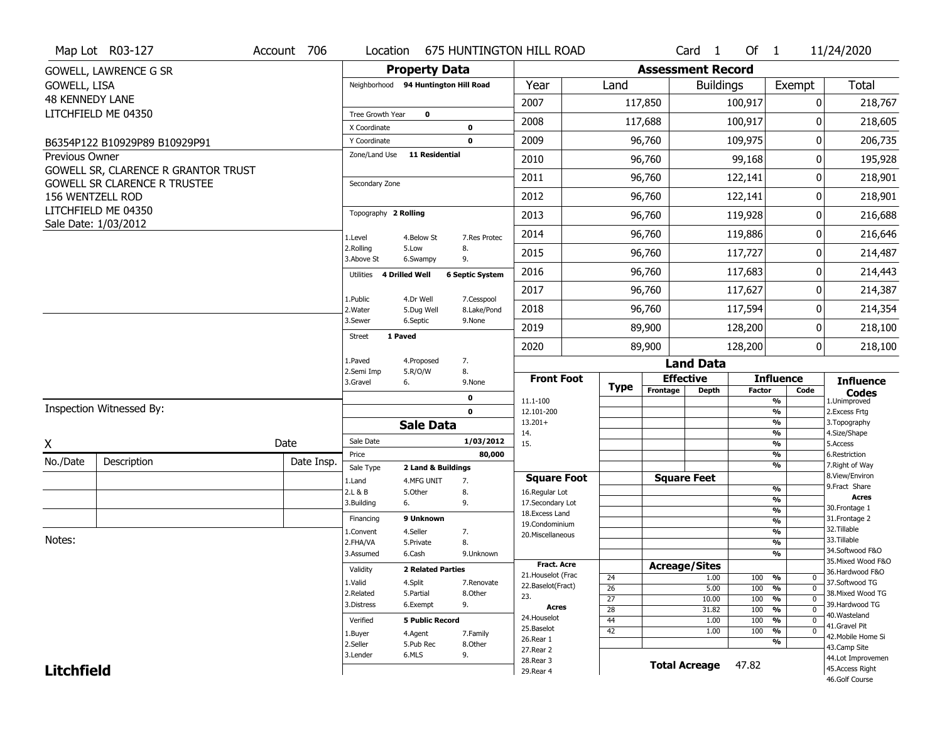|                   | Map Lot R03-127                             | Account 706 |                              |                                      |                            | Location 675 HUNTINGTON HILL ROAD   |                 |          | Card <sub>1</sub>        | Of 1          |                                | 11/24/2020                          |
|-------------------|---------------------------------------------|-------------|------------------------------|--------------------------------------|----------------------------|-------------------------------------|-----------------|----------|--------------------------|---------------|--------------------------------|-------------------------------------|
|                   | GOWELL, LAWRENCE G SR                       |             |                              | <b>Property Data</b>                 |                            |                                     |                 |          | <b>Assessment Record</b> |               |                                |                                     |
| GOWELL, LISA      |                                             |             |                              | Neighborhood 94 Huntington Hill Road |                            | Year                                | Land            |          | <b>Buildings</b>         |               | Exempt                         | Total                               |
| 48 KENNEDY LANE   |                                             |             |                              |                                      |                            | 2007                                |                 | 117,850  |                          | 100,917       | $\mathbf{0}$                   | 218,767                             |
|                   | LITCHFIELD ME 04350                         |             | Tree Growth Year             | 0                                    |                            | 2008                                |                 | 117,688  |                          | 100,917       | O                              | 218,605                             |
|                   | B6354P122 B10929P89 B10929P91               |             | X Coordinate<br>Y Coordinate |                                      | $\mathbf 0$<br>$\mathbf 0$ | 2009                                |                 | 96,760   |                          | 109,975       | 0                              | 206,735                             |
| Previous Owner    |                                             |             | Zone/Land Use                | <b>11 Residential</b>                |                            | 2010                                |                 | 96,760   |                          | 99,168        | 0                              | 195,928                             |
|                   | GOWELL SR, CLARENCE R GRANTOR TRUST         |             |                              |                                      |                            |                                     |                 |          |                          |               |                                |                                     |
|                   | <b>GOWELL SR CLARENCE R TRUSTEE</b>         |             | Secondary Zone               |                                      |                            | 2011                                |                 | 96,760   |                          | 122,141       | 0                              | 218,901                             |
|                   | 156 WENTZELL ROD                            |             |                              |                                      |                            | 2012                                |                 | 96,760   |                          | 122,141       | $\mathbf{0}$                   | 218,901                             |
|                   | LITCHFIELD ME 04350<br>Sale Date: 1/03/2012 |             | Topography 2 Rolling         |                                      |                            | 2013                                |                 | 96,760   |                          | 119,928       | 0                              | 216,688                             |
|                   |                                             |             | 1.Level                      | 4.Below St                           | 7.Res Protec               | 2014                                |                 | 96,760   |                          | 119,886       | 0                              | 216,646                             |
|                   |                                             |             | 2.Rolling<br>3.Above St      | 5.Low<br>6.Swampy                    | 8.<br>9.                   | 2015                                |                 | 96,760   |                          | 117,727       | $\Omega$                       | 214,487                             |
|                   |                                             |             | Utilities                    | <b>4 Drilled Well</b>                | <b>6 Septic System</b>     | 2016                                |                 | 96,760   |                          | 117,683       | $\mathbf{0}$                   | 214,443                             |
|                   |                                             |             | 1.Public                     | 4.Dr Well                            | 7.Cesspool                 | 2017                                |                 | 96,760   |                          | 117,627       | 0                              | 214,387                             |
|                   |                                             |             | 2. Water                     | 5.Dug Well                           | 8.Lake/Pond                | 2018                                |                 | 96,760   |                          | 117,594       | $\mathbf{0}$                   | 214,354                             |
|                   |                                             |             | 3.Sewer                      | 6.Septic                             | 9.None                     | 2019                                |                 | 89,900   |                          | 128,200       | 0                              | 218,100                             |
|                   |                                             |             | <b>Street</b>                | 1 Paved                              |                            | 2020                                |                 | 89,900   |                          | 128,200       | $\mathbf{0}$                   | 218,100                             |
|                   |                                             |             | 1.Paved                      | 4.Proposed                           | 7.                         |                                     |                 |          | <b>Land Data</b>         |               |                                |                                     |
|                   |                                             |             | 2.Semi Imp<br>3.Gravel       | 5.R/O/W<br>6.                        | 8.<br>9.None               | <b>Front Foot</b>                   | <b>Type</b>     |          | <b>Effective</b>         |               | <b>Influence</b>               | <b>Influence</b>                    |
|                   |                                             |             |                              |                                      | 0                          | 11.1-100                            |                 | Frontage | <b>Depth</b>             | <b>Factor</b> | Code<br>%                      | <b>Codes</b><br>1.Unimproved        |
|                   | Inspection Witnessed By:                    |             |                              |                                      | $\mathbf 0$                | 12.101-200                          |                 |          |                          |               | $\frac{9}{6}$<br>$\frac{9}{6}$ | 2. Excess Frtg                      |
|                   |                                             |             |                              | <b>Sale Data</b>                     |                            | $13.201+$<br>14.                    |                 |          |                          |               | $\frac{9}{6}$                  | 3. Topography<br>4.Size/Shape       |
| X                 |                                             | Date        | Sale Date<br>Price           |                                      | 1/03/2012                  | 15.                                 |                 |          |                          |               | $\frac{9}{6}$<br>$\frac{9}{6}$ | 5.Access<br>6.Restriction           |
| No./Date          | Description                                 | Date Insp.  | Sale Type                    | 2 Land & Buildings                   | 80,000                     |                                     |                 |          |                          |               | $\frac{9}{6}$                  | 7. Right of Way                     |
|                   |                                             |             | 1.Land                       | 4.MFG UNIT                           | 7.                         | <b>Square Foot</b>                  |                 |          | <b>Square Feet</b>       |               |                                | 8.View/Environ                      |
|                   |                                             |             | 2.L & B                      | 5.Other                              | 8.                         | 16.Regular Lot                      |                 |          |                          |               | %<br>$\frac{9}{6}$             | 9. Fract Share<br><b>Acres</b>      |
|                   |                                             |             | 3.Building                   | 6.                                   | 9.                         | 17.Secondary Lot<br>18. Excess Land |                 |          |                          |               | $\frac{9}{6}$                  | 30. Frontage 1                      |
|                   |                                             |             | Financing                    | 9 Unknown                            |                            | 19.Condominium                      |                 |          |                          |               | $\frac{9}{6}$                  | 31. Frontage 2                      |
| Notes:            |                                             |             | 1.Convent                    | 4.Seller                             | 7.                         | 20.Miscellaneous                    |                 |          |                          |               | $\frac{9}{6}$                  | 32.Tillable<br>33.Tillable          |
|                   |                                             |             | 2.FHA/VA<br>3.Assumed        | 5.Private<br>6.Cash                  | 8.<br>9.Unknown            |                                     |                 |          |                          |               | $\frac{9}{6}$<br>$\frac{9}{6}$ | 34.Softwood F&O                     |
|                   |                                             |             |                              |                                      |                            | <b>Fract. Acre</b>                  |                 |          | <b>Acreage/Sites</b>     |               |                                | 35. Mixed Wood F&O                  |
|                   |                                             |             | Validity                     | <b>2 Related Parties</b>             |                            | 21. Houselot (Frac                  | 24              |          | 1.00                     | 100           | %<br>U                         | 36.Hardwood F&O                     |
|                   |                                             |             | 1.Valid                      | 4.Split                              | 7.Renovate                 | 22.Baselot(Fract)                   | 26              |          | 5.00                     | 100           | $\mathbf 0$<br>%               | 37.Softwood TG                      |
|                   |                                             |             | 2.Related<br>3.Distress      | 5.Partial<br>6.Exempt                | 8.0ther<br>9.              | 23.                                 | $\overline{27}$ |          | 10.00                    | 100           | $\frac{9}{6}$<br>$\mathbf 0$   | 38. Mixed Wood TG<br>39.Hardwood TG |
|                   |                                             |             |                              |                                      |                            | Acres                               | $\overline{28}$ |          | 31.82                    | 100           | %<br>0                         | 40.Wasteland                        |
|                   |                                             |             | Verified                     | <b>5 Public Record</b>               |                            | 24. Houselot<br>25.Baselot          | 44              |          | 1.00                     | 100           | $\frac{9}{6}$<br>$\mathbf 0$   | 41.Gravel Pit                       |
|                   |                                             |             | 1.Buyer                      | 4.Agent                              | 7.Family                   | 26.Rear 1                           | 42              |          | 1.00                     | 100           | %<br>$\mathbf 0$<br>%          | 42. Mobile Home Si                  |
|                   |                                             |             | 2.Seller                     | 5.Pub Rec                            | 8.0ther                    | 27. Rear 2                          |                 |          |                          |               |                                | 43.Camp Site                        |
| <b>Litchfield</b> |                                             |             | 3.Lender                     | 6.MLS                                | 9.                         | 28. Rear 3                          |                 |          | <b>Total Acreage</b>     | 47.82         |                                | 44.Lot Improvemen                   |
|                   |                                             |             |                              |                                      |                            | 29. Rear 4                          |                 |          |                          |               |                                | 45.Access Right                     |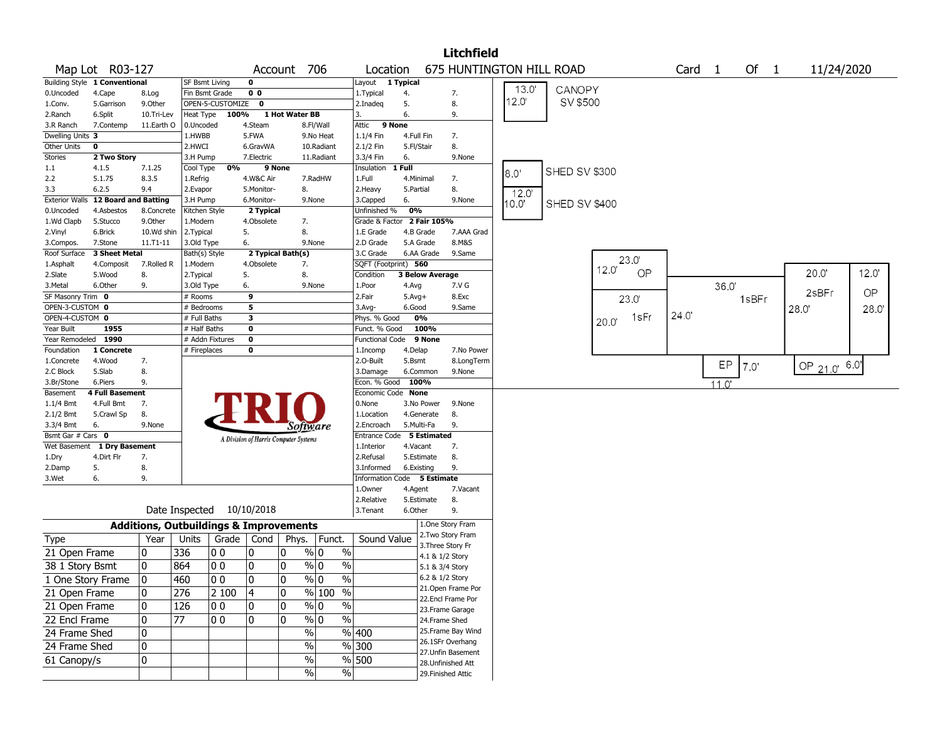|                     |                                                                         |            |                       |                                                   |                   |                                       |                                |                             |              |                        | <b>Litchfield</b>        |       |               |                   |       |                   |            |                 |       |
|---------------------|-------------------------------------------------------------------------|------------|-----------------------|---------------------------------------------------|-------------------|---------------------------------------|--------------------------------|-----------------------------|--------------|------------------------|--------------------------|-------|---------------|-------------------|-------|-------------------|------------|-----------------|-------|
|                     | Map Lot R03-127                                                         |            |                       |                                                   | Account 706       |                                       | Location                       |                             |              |                        | 675 HUNTINGTON HILL ROAD |       |               | Card <sub>1</sub> |       | Of $1$            | 11/24/2020 |                 |       |
|                     | Building Style 1 Conventional                                           |            | <b>SF Bsmt Living</b> |                                                   | $\mathbf 0$       |                                       |                                | Layout 1 Typical            |              |                        |                          |       |               |                   |       |                   |            |                 |       |
| 0.Uncoded           | 0 <sub>0</sub><br>4.Cape<br>Fin Bsmt Grade<br>8.Log<br>OPEN-5-CUSTOMIZE |            |                       |                                                   |                   |                                       |                                |                             | 4.           |                        | 7.                       | 13.0  | CANOPY        |                   |       |                   |            |                 |       |
| 1.Conv.             | 5.Garrison                                                              | 9.Other    |                       |                                                   | $\mathbf 0$       |                                       |                                | 2.Inadeg                    | 5.           |                        | 8.                       | 12.0' | SV \$500      |                   |       |                   |            |                 |       |
| 2.Ranch             | 6.Split                                                                 | 10.Tri-Lev | Heat Type             | 100%                                              |                   | 1 Hot Water BB                        |                                | 3.                          | 6.           |                        | 9.                       |       |               |                   |       |                   |            |                 |       |
| 3.R Ranch           | 7.Contemp                                                               | 11.Earth O | 0.Uncoded             |                                                   | 4.Steam           |                                       | 8.Fl/Wall                      | 9 None<br>Attic             |              |                        |                          |       |               |                   |       |                   |            |                 |       |
| Dwelling Units 3    |                                                                         |            | 1.HWBB                |                                                   | 5.FWA             |                                       | 9.No Heat                      | 1.1/4 Fin                   | 4.Full Fin   |                        | 7.                       |       |               |                   |       |                   |            |                 |       |
| Other Units         | 0                                                                       |            | 2.HWCI                |                                                   | 6.GravWA          |                                       | 10.Radiant                     | 2.1/2 Fin                   | 5.Fl/Stair   |                        | 8.                       |       |               |                   |       |                   |            |                 |       |
| <b>Stories</b>      | 2 Two Story                                                             |            | 3.H Pump              |                                                   | 7.Electric        |                                       | 11.Radiant                     | 3.3/4 Fin                   | 6.           |                        | 9.None                   |       |               |                   |       |                   |            |                 |       |
| 1.1                 | 4.1.5                                                                   | 7.1.25     | Cool Type             | 0%                                                | 9 None            |                                       |                                | Insulation                  | 1 Full       |                        |                          | 8.0'  | SHED SV \$300 |                   |       |                   |            |                 |       |
| 2.2                 | 5.1.75                                                                  | 8.3.5      | 1.Refrig              |                                                   | 4.W&C Air         |                                       | 7.RadHW                        | 1.Full                      | 4.Minimal    |                        | 7.                       |       |               |                   |       |                   |            |                 |       |
| 3.3                 | 6.2.5                                                                   | 9.4        | 2.Evapor              |                                                   | 5.Monitor-        | 8.                                    |                                | 2.Heavy                     | 5.Partial    |                        | 8.                       | 12.0' |               |                   |       |                   |            |                 |       |
|                     | <b>Exterior Walls</b> 12 Board and Batting                              |            | 3.H Pump              |                                                   | 6.Monitor-        | 9.None                                |                                | 3.Capped                    | 6.           |                        | 9.None                   | 10.01 | SHED SV \$400 |                   |       |                   |            |                 |       |
| 0.Uncoded           | 4.Asbestos                                                              | 8.Concrete | Kitchen Style         |                                                   | 2 Typical         |                                       |                                | Unfinished %                | 0%           |                        |                          |       |               |                   |       |                   |            |                 |       |
| 1.Wd Clapb          | 5.Stucco                                                                | 9.Other    | 1.Modern              |                                                   | 4.Obsolete        | 7.                                    |                                | Grade & Factor              |              | 2 Fair 105%            |                          |       |               |                   |       |                   |            |                 |       |
| 2.Vinyl             | 6.Brick                                                                 | 10.Wd shin | 2. Typical            |                                                   | 5.                | 8.                                    |                                | 1.E Grade                   |              | 4.B Grade              | 7.AAA Grad               |       |               |                   |       |                   |            |                 |       |
| 3.Compos.           | 7.Stone                                                                 | 11.T1-11   | 3.Old Type            |                                                   | 6.                | 9.None                                |                                | 2.D Grade                   |              | 5.A Grade              | 8.M&S                    |       |               |                   |       |                   |            |                 |       |
| Roof Surface        | 3 Sheet Metal                                                           |            | Bath(s) Style         |                                                   | 2 Typical Bath(s) |                                       |                                | 3.C Grade                   |              | 6.AA Grade             | 9.Same                   |       |               | 23.0              |       |                   |            |                 |       |
| 1.Asphalt           | 4.Composit                                                              | 7.Rolled R | 1.Modern              |                                                   | 4.Obsolete        | 7.                                    |                                | SQFT (Footprint) 560        |              |                        |                          |       |               | 12.0'             |       |                   |            |                 |       |
| 2.Slate             | 5.Wood                                                                  | 8.         | 2. Typical            |                                                   | 5.                | 8.                                    |                                | Condition                   |              | <b>3 Below Average</b> |                          |       |               | OP                |       |                   |            | 20.0            | 12.0' |
| 3.Metal             | 6.Other                                                                 | 9.         | 3.Old Type            |                                                   | 6.                | 9.None                                |                                | 1.Poor                      | 4.Avg        |                        | 7.V G                    |       |               |                   |       | 36.0'             |            |                 |       |
| SF Masonry Trim 0   |                                                                         |            | # Rooms               |                                                   | 9                 |                                       |                                | 2.Fair                      | $5.$ Avg $+$ |                        | 8.Exc                    |       |               | 23.0              |       |                   | 1sBFr      | 2sBFr           | OP    |
| OPEN-3-CUSTOM 0     |                                                                         |            | # Bedrooms            |                                                   | 5                 |                                       |                                | 3.Avg-                      | 6.Good       |                        | 9.Same                   |       |               |                   |       |                   |            | 28.0            | 28.0  |
| OPEN-4-CUSTOM 0     |                                                                         |            | # Full Baths          |                                                   | 3                 |                                       |                                | Phys. % Good                |              | 0%                     |                          |       |               | 1sFr<br>20.0"     | 24.0' |                   |            |                 |       |
| Year Built          | 1955                                                                    |            | # Half Baths          |                                                   | 0                 |                                       |                                | Funct. % Good               |              | 100%                   |                          |       |               |                   |       |                   |            |                 |       |
| Year Remodeled 1990 |                                                                         |            |                       | # Addn Fixtures                                   | $\mathbf 0$       |                                       |                                | <b>Functional Code</b>      |              | 9 None                 |                          |       |               |                   |       |                   |            |                 |       |
| Foundation          | 1 Concrete                                                              |            | # Fireplaces          |                                                   | 0                 |                                       |                                | 1.Incomp                    | 4.Delap      |                        | 7.No Power               |       |               |                   |       |                   |            |                 |       |
| 1.Concrete          | 4.Wood                                                                  | 7.         |                       |                                                   |                   |                                       |                                | 2.O-Built                   | 5.Bsmt       |                        | 8.LongTerm               |       |               |                   |       | EP                | 7.0'       | OP $21.0'$ 6.0' |       |
| 2.C Block           | 5.Slab                                                                  | 8.         |                       |                                                   |                   |                                       |                                | 3.Damage                    |              | 6.Common               | 9.None                   |       |               |                   |       |                   |            |                 |       |
| 3.Br/Stone          | 6.Piers                                                                 | 9.         |                       |                                                   |                   |                                       |                                | Econ. % Good                | 100%         |                        |                          |       |               |                   |       | $11.\overline{0}$ |            |                 |       |
| Basement            | 4 Full Basement                                                         |            |                       |                                                   |                   |                                       |                                | Economic Code None          |              |                        |                          |       |               |                   |       |                   |            |                 |       |
| $1.1/4$ Bmt         | 4.Full Bmt                                                              | 7.         |                       |                                                   |                   |                                       |                                | 0.None                      |              | 3.No Power             | 9.None                   |       |               |                   |       |                   |            |                 |       |
| 2.1/2 Bmt           | 5.Crawl Sp                                                              | 8.         |                       |                                                   |                   |                                       |                                | 1.Location                  |              | 4.Generate             | 8.                       |       |               |                   |       |                   |            |                 |       |
| 3.3/4 Bmt           | 6.                                                                      | 9.None     |                       |                                                   |                   | Sottware                              |                                | 2.Encroach                  |              | 5.Multi-Fa             | 9.                       |       |               |                   |       |                   |            |                 |       |
| Bsmt Gar # Cars 0   |                                                                         |            |                       |                                                   |                   | A Division of Harris Computer Systems |                                | Entrance Code 5 Estimated   |              |                        |                          |       |               |                   |       |                   |            |                 |       |
| Wet Basement        | 1 Dry Basement                                                          |            |                       |                                                   |                   |                                       |                                | 1.Interior                  | 4.Vacant     |                        | 7.                       |       |               |                   |       |                   |            |                 |       |
| 1.Dry               | 4.Dirt Flr                                                              | 7.         |                       |                                                   |                   |                                       |                                | 2.Refusal                   |              | 5.Estimate             | 8.                       |       |               |                   |       |                   |            |                 |       |
| 2.Damp              | 5.                                                                      | 8.         |                       |                                                   |                   |                                       |                                | 3.Informed                  |              | 6.Existing             | 9.                       |       |               |                   |       |                   |            |                 |       |
| 3.Wet               | 6.                                                                      | 9.         |                       |                                                   |                   |                                       |                                | Information Code 5 Estimate |              |                        |                          |       |               |                   |       |                   |            |                 |       |
|                     |                                                                         |            |                       |                                                   |                   |                                       |                                | 1.0wner                     | 4.Agent      |                        | 7.Vacant                 |       |               |                   |       |                   |            |                 |       |
|                     |                                                                         |            |                       |                                                   |                   |                                       |                                | 2.Relative                  |              | 5.Estimate             | 8.                       |       |               |                   |       |                   |            |                 |       |
|                     |                                                                         |            | Date Inspected        |                                                   | 10/10/2018        |                                       |                                | 3.Tenant                    | 6.Other      |                        | 9.                       |       |               |                   |       |                   |            |                 |       |
|                     |                                                                         |            |                       | <b>Additions, Outbuildings &amp; Improvements</b> |                   |                                       |                                |                             |              |                        | 1.One Story Fram         |       |               |                   |       |                   |            |                 |       |
| Type                |                                                                         | Year       | Units                 | Grade   Cond                                      |                   | Phys.                                 | Funct.                         | Sound Value                 |              |                        | 2. Two Story Fram        |       |               |                   |       |                   |            |                 |       |
| 21 Open Frame       |                                                                         | 0          | 336                   | O O                                               | 10                | 0                                     | $\%$<br>% 0                    |                             |              |                        | 3. Three Story Fr        |       |               |                   |       |                   |            |                 |       |
|                     |                                                                         |            |                       |                                                   |                   |                                       |                                |                             |              | 4.1 & 1/2 Story        |                          |       |               |                   |       |                   |            |                 |       |
| 38 1 Story Bsmt     |                                                                         | 0          | 864                   | O O                                               | 10                | 0                                     | $\%$<br>% 0                    |                             |              | 5.1 & 3/4 Story        |                          |       |               |                   |       |                   |            |                 |       |
| 1 One Story Frame   |                                                                         | l N        | 460                   | 00                                                | ١o                | 0                                     | $\frac{0}{0}$<br>% 0           |                             |              | 6.2 & 1/2 Story        |                          |       |               |                   |       |                   |            |                 |       |
| 21 Open Frame       |                                                                         | 0          | 276                   | 2 100                                             | 4                 | 0                                     | % 100 %                        |                             |              |                        | 21. Open Frame Por       |       |               |                   |       |                   |            |                 |       |
| 21 Open Frame       |                                                                         | 0          | 126                   | O O                                               | 10                | 0                                     | $\frac{9}{0}$<br>$\frac{0}{0}$ |                             |              |                        | 22.Encl Frame Por        |       |               |                   |       |                   |            |                 |       |
|                     |                                                                         |            |                       |                                                   |                   |                                       |                                |                             |              |                        | 23. Frame Garage         |       |               |                   |       |                   |            |                 |       |
| 22 Encl Frame       |                                                                         | 0          | 77                    | 10 0                                              | 10                | 0                                     | $\sqrt{96}$ 0<br>$\sqrt{6}$    |                             |              | 24.Frame Shed          |                          |       |               |                   |       |                   |            |                 |       |
| 24 Frame Shed       |                                                                         | 0          |                       |                                                   |                   | %                                     |                                | $\frac{9}{6}$ 400           |              |                        | 25. Frame Bay Wind       |       |               |                   |       |                   |            |                 |       |
| 24 Frame Shed       |                                                                         | 0          |                       |                                                   |                   | $\frac{0}{0}$                         |                                | $\frac{9}{6}$ 300           |              |                        | 26.1SFr Overhang         |       |               |                   |       |                   |            |                 |       |
| 61 Canopy/s         |                                                                         | 0          |                       |                                                   |                   | $\%$                                  |                                | $\frac{9}{6}$ 500           |              |                        | 27. Unfin Basement       |       |               |                   |       |                   |            |                 |       |
|                     |                                                                         |            |                       |                                                   |                   |                                       | $\sqrt{6}$                     |                             |              |                        | 28. Unfinished Att       |       |               |                   |       |                   |            |                 |       |
|                     |                                                                         |            |                       |                                                   |                   | %                                     |                                |                             |              |                        | 29. Finished Attic       |       |               |                   |       |                   |            |                 |       |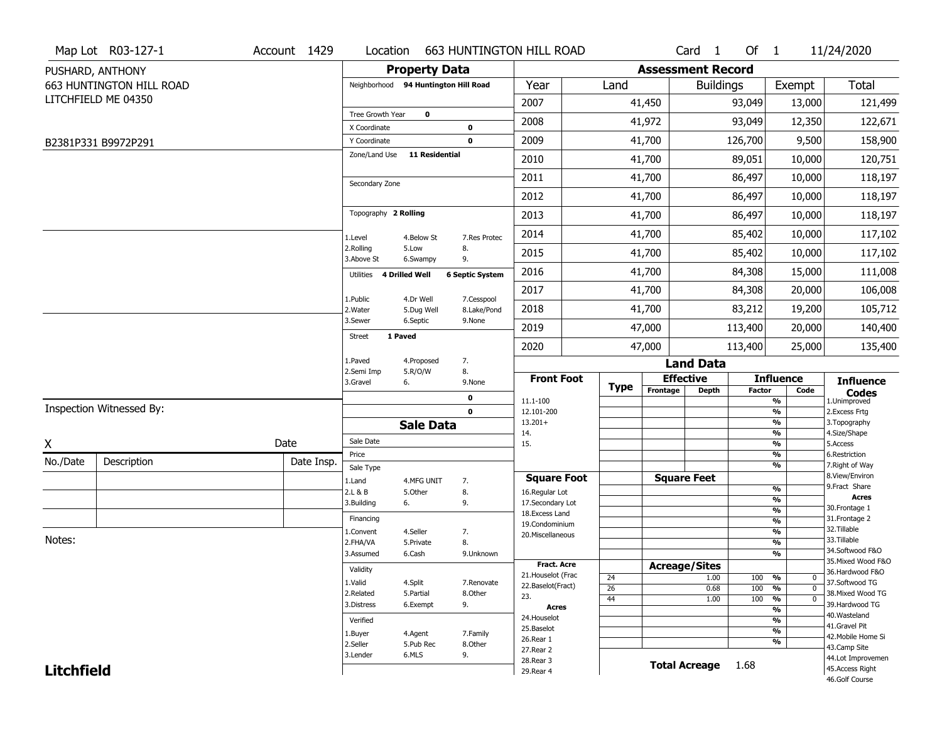|                   | Map Lot R03-127-1        | Account 1429 | Location                      |                                      | <b>663 HUNTINGTON HILL ROAD</b> |                                         |                 |                          | Card <sub>1</sub>    | Of $1$        |                                 | 11/24/2020                            |
|-------------------|--------------------------|--------------|-------------------------------|--------------------------------------|---------------------------------|-----------------------------------------|-----------------|--------------------------|----------------------|---------------|---------------------------------|---------------------------------------|
|                   | PUSHARD, ANTHONY         |              |                               | <b>Property Data</b>                 |                                 |                                         |                 | <b>Assessment Record</b> |                      |               |                                 |                                       |
|                   | 663 HUNTINGTON HILL ROAD |              |                               | Neighborhood 94 Huntington Hill Road |                                 | Year                                    | Land            |                          | <b>Buildings</b>     |               | Exempt                          | <b>Total</b>                          |
|                   | LITCHFIELD ME 04350      |              |                               |                                      |                                 | 2007                                    |                 | 41,450                   |                      | 93,049        | 13,000                          | 121,499                               |
|                   |                          |              | Tree Growth Year              | $\mathbf 0$                          |                                 | 2008                                    |                 | 41,972                   |                      | 93,049        | 12,350                          | 122,671                               |
|                   |                          |              | X Coordinate                  |                                      | $\mathbf 0$                     |                                         |                 |                          |                      |               |                                 |                                       |
|                   | B2381P331 B9972P291      |              | Y Coordinate<br>Zone/Land Use | <b>11 Residential</b>                | $\mathbf 0$                     | 2009                                    |                 | 41,700                   |                      | 126,700       | 9,500                           | 158,900                               |
|                   |                          |              |                               |                                      |                                 | 2010                                    |                 | 41,700                   |                      | 89,051        | 10,000                          | 120,751                               |
|                   |                          |              | Secondary Zone                |                                      |                                 | 2011                                    |                 | 41,700                   |                      | 86,497        | 10,000                          | 118,197                               |
|                   |                          |              |                               |                                      |                                 | 2012                                    |                 | 41,700                   |                      | 86,497        | 10,000                          | 118,197                               |
|                   |                          |              | Topography 2 Rolling          |                                      |                                 | 2013                                    |                 | 41,700                   |                      | 86,497        | 10,000                          | 118,197                               |
|                   |                          |              | 1.Level                       | 4.Below St                           | 7.Res Protec                    | 2014                                    |                 | 41,700                   |                      | 85,402        | 10,000                          | 117,102                               |
|                   |                          |              | 2.Rolling<br>3.Above St       | 5.Low<br>6.Swampy                    | 8.<br>9.                        | 2015                                    |                 | 41,700                   |                      | 85,402        | 10,000                          | 117,102                               |
|                   |                          |              | Utilities                     | <b>4 Drilled Well</b>                | <b>6 Septic System</b>          | 2016                                    |                 | 41,700                   |                      | 84,308        | 15,000                          | 111,008                               |
|                   |                          |              | 1.Public                      | 4.Dr Well                            | 7.Cesspool                      | 2017                                    |                 | 41,700                   |                      | 84,308        | 20,000                          | 106,008                               |
|                   |                          |              | 2. Water                      | 5.Dug Well                           | 8.Lake/Pond                     | 2018                                    |                 | 41,700                   |                      | 83,212        | 19,200                          | 105,712                               |
|                   |                          |              | 3.Sewer                       | 6.Septic                             | 9.None                          | 2019                                    |                 | 47,000                   |                      | 113,400       | 20,000                          | 140,400                               |
|                   |                          |              | <b>Street</b>                 | 1 Paved                              |                                 | 2020                                    |                 | 47,000                   |                      | 113,400       | 25,000                          | 135,400                               |
|                   |                          |              | 1.Paved                       | 4.Proposed                           | 7.                              |                                         |                 |                          | <b>Land Data</b>     |               |                                 |                                       |
|                   |                          |              | 2.Semi Imp<br>3.Gravel        | 5.R/O/W<br>6.                        | 8.<br>9.None                    | <b>Front Foot</b>                       |                 |                          | <b>Effective</b>     |               | <b>Influence</b>                | <b>Influence</b>                      |
|                   |                          |              |                               |                                      | $\mathbf 0$                     | 11.1-100                                | <b>Type</b>     | Frontage                 | <b>Depth</b>         | <b>Factor</b> | Code<br>%                       | <b>Codes</b><br>1.Unimproved          |
|                   | Inspection Witnessed By: |              |                               |                                      | $\mathbf 0$                     | 12.101-200                              |                 |                          |                      |               | $\frac{9}{6}$                   | 2.Excess Frtg                         |
|                   |                          |              |                               | <b>Sale Data</b>                     |                                 | $13.201+$<br>14.                        |                 |                          |                      |               | %<br>%                          | 3. Topography<br>4.Size/Shape         |
| X                 |                          | Date         | Sale Date                     |                                      |                                 | 15.                                     |                 |                          |                      |               | $\frac{9}{6}$                   | 5.Access                              |
| No./Date          | Description              | Date Insp.   | Price                         |                                      |                                 |                                         |                 |                          |                      |               | %<br>%                          | 6.Restriction<br>7. Right of Way      |
|                   |                          |              | Sale Type                     |                                      |                                 | <b>Square Foot</b>                      |                 |                          | <b>Square Feet</b>   |               |                                 | 8.View/Environ                        |
|                   |                          |              | 1.Land<br>2.L & B             | 4.MFG UNIT<br>5.0ther                | 7.<br>8.                        | 16.Regular Lot                          |                 |                          |                      |               | $\frac{9}{6}$                   | 9.Fract Share                         |
|                   |                          |              | 3.Building                    | 6.                                   | 9.                              | 17.Secondary Lot                        |                 |                          |                      |               | $\frac{9}{6}$                   | <b>Acres</b><br>30. Frontage 1        |
|                   |                          |              | Financing                     |                                      |                                 | 18.Excess Land                          |                 |                          |                      |               | $\frac{9}{6}$<br>$\frac{9}{6}$  | 31. Frontage 2                        |
|                   |                          |              | 1.Convent                     | 4.Seller                             | 7.                              | 19.Condominium<br>20.Miscellaneous      |                 |                          |                      |               | $\frac{9}{6}$                   | 32. Tillable                          |
| Notes:            |                          |              | 2.FHA/VA                      | 5.Private                            | 8.                              |                                         |                 |                          |                      |               | $\frac{9}{6}$                   | 33.Tillable                           |
|                   |                          |              | 3.Assumed                     | 6.Cash                               | 9.Unknown                       |                                         |                 |                          |                      |               | $\frac{9}{6}$                   | 34.Softwood F&O<br>35. Mixed Wood F&O |
|                   |                          |              | Validity                      |                                      |                                 | <b>Fract. Acre</b>                      |                 |                          | <b>Acreage/Sites</b> |               |                                 | 36.Hardwood F&O                       |
|                   |                          |              | 1.Valid                       | 4.Split                              | 7.Renovate                      | 21. Houselot (Frac<br>22.Baselot(Fract) | 24              |                          | 1.00                 | 100           | %<br>0                          | 37.Softwood TG                        |
|                   |                          |              | 2.Related                     | 5.Partial                            | 8.Other                         | 23.                                     | $\overline{26}$ |                          | 0.68                 | 100           | %<br>$\mathbf 0$<br>$\mathbf 0$ | 38. Mixed Wood TG                     |
|                   |                          |              | 3.Distress                    | 6.Exempt                             | 9.                              | <b>Acres</b>                            | 44              |                          | 1.00                 | 100           | %<br>$\frac{9}{6}$              | 39.Hardwood TG                        |
|                   |                          |              | Verified                      |                                      |                                 | 24. Houselot                            |                 |                          |                      |               | $\frac{9}{6}$                   | 40. Wasteland                         |
|                   |                          |              | 1.Buyer                       | 4.Agent                              | 7.Family                        | 25.Baselot                              |                 |                          |                      |               | $\frac{9}{6}$                   | 41.Gravel Pit                         |
|                   |                          |              | 2.Seller                      | 5.Pub Rec                            | 8.0ther                         | 26.Rear 1                               |                 |                          |                      |               | $\frac{9}{6}$                   | 42. Mobile Home Si<br>43.Camp Site    |
|                   |                          |              | 3.Lender                      | 6.MLS                                | 9.                              | 27.Rear 2                               |                 |                          |                      |               |                                 | 44.Lot Improvemen                     |
| <b>Litchfield</b> |                          |              |                               |                                      |                                 | 28. Rear 3<br>29. Rear 4                |                 |                          | <b>Total Acreage</b> | 1.68          |                                 | 45.Access Right                       |
|                   |                          |              |                               |                                      |                                 |                                         |                 |                          |                      |               |                                 | 46.Golf Course                        |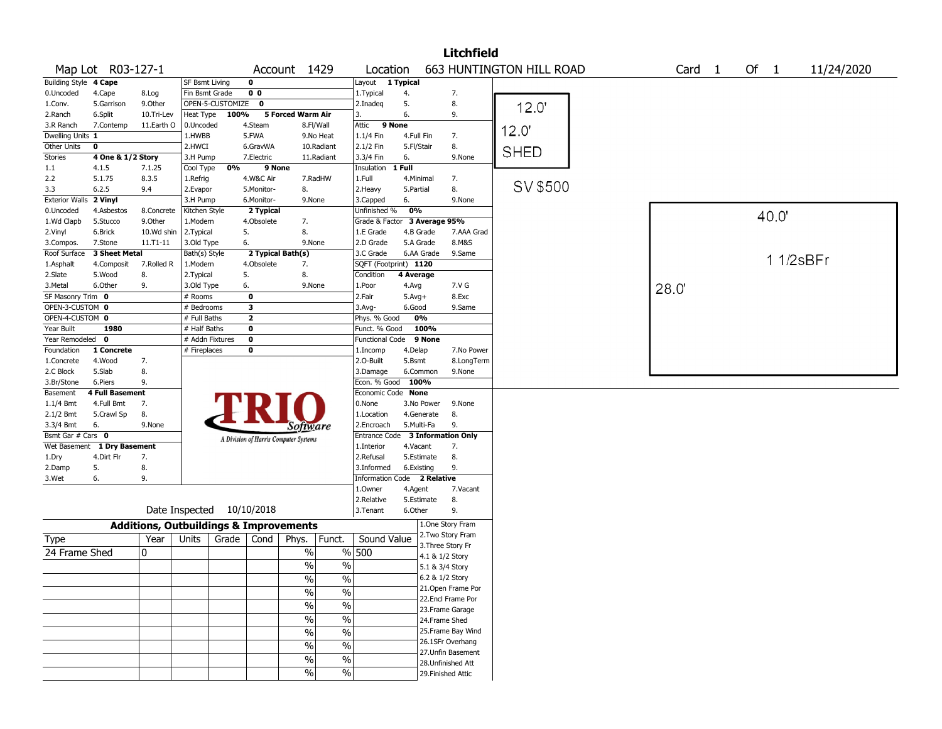|                                |                        |                                                   |                       |                           |                   |                                       |                          |                                  |            |                 | <b>Litchfield</b>  |                                 |        |      |          |            |
|--------------------------------|------------------------|---------------------------------------------------|-----------------------|---------------------------|-------------------|---------------------------------------|--------------------------|----------------------------------|------------|-----------------|--------------------|---------------------------------|--------|------|----------|------------|
|                                | Map Lot R03-127-1      |                                                   |                       |                           |                   | Account 1429                          |                          | Location                         |            |                 |                    | <b>663 HUNTINGTON HILL ROAD</b> | Card 1 | Of 1 |          | 11/24/2020 |
| Building Style 4 Cape          |                        |                                                   | <b>SF Bsmt Living</b> |                           | $\mathbf 0$       |                                       |                          | Layout                           | 1 Typical  |                 |                    |                                 |        |      |          |            |
| 0.Uncoded                      | 4.Cape                 | 8.Log                                             | Fin Bsmt Grade        |                           | 0 <sub>0</sub>    |                                       |                          | 1.Typical                        | 4.         |                 | 7.                 |                                 |        |      |          |            |
| 1.Conv.                        | 5.Garrison             | 9.Other                                           |                       | OPEN-5-CUSTOMIZE          | $\mathbf 0$       |                                       |                          | 2.Inadeq                         | 5.         |                 | 8.                 | 12.0                            |        |      |          |            |
| 2.Ranch                        | 6.Split                | 10.Tri-Lev                                        | Heat Type             | 100%                      |                   | 5 Forced Warm Air                     |                          | 3.                               | 6.         |                 | 9.                 |                                 |        |      |          |            |
| 3.R Ranch                      | 7.Contemp              | 11.Earth O                                        | 0.Uncoded             |                           | 4.Steam           | 8.Fl/Wall                             |                          | 9 None<br>Attic                  |            |                 |                    |                                 |        |      |          |            |
| Dwelling Units 1               |                        |                                                   | 1.HWBB                |                           | 5.FWA             |                                       | 9.No Heat                | 1.1/4 Fin                        | 4.Full Fin |                 | 7.                 | 12.0                            |        |      |          |            |
| Other Units                    | $\mathbf 0$            |                                                   | 2.HWCI                |                           | 6.GravWA          |                                       | 10.Radiant               | 2.1/2 Fin                        | 5.Fl/Stair |                 | 8.                 | <b>SHED</b>                     |        |      |          |            |
| Stories                        | 4 One & 1/2 Story      |                                                   | 3.H Pump              |                           | 7.Electric        |                                       | 11.Radiant               | 3.3/4 Fin                        | 6.         |                 | 9.None             |                                 |        |      |          |            |
| 1.1                            | 4.1.5                  | 7.1.25                                            | Cool Type             | 0%                        | 9 None            |                                       |                          | Insulation                       | 1 Full     |                 |                    |                                 |        |      |          |            |
| 2.2                            | 5.1.75                 | 8.3.5                                             | 1.Refrig              |                           | 4.W&C Air         |                                       | 7.RadHW                  | 1.Full                           | 4.Minimal  |                 | 7.                 |                                 |        |      |          |            |
| 3.3                            | 6.2.5                  | 9.4                                               | 2.Evapor              |                           | 5.Monitor-        | 8.                                    |                          | 2.Heavy                          | 5.Partial  |                 | 8.                 | SV \$500                        |        |      |          |            |
| Exterior Walls 2 Vinyl         |                        |                                                   | 3.H Pump              |                           | 6.Monitor-        | 9.None                                |                          | 3.Capped                         | 6.         |                 | 9.None             |                                 |        |      |          |            |
| 0.Uncoded                      | 4.Asbestos             | 8.Concrete                                        | Kitchen Style         |                           | 2 Typical         |                                       |                          | Unfinished %                     | 0%         |                 |                    |                                 |        |      | 40.0     |            |
| 1.Wd Clapb                     | 5.Stucco               | 9.Other                                           | 1.Modern              |                           | 4.Obsolete        | 7.                                    |                          | Grade & Factor 3 Average 95%     |            |                 |                    |                                 |        |      |          |            |
| 2.Vinyl                        | 6.Brick                | 10.Wd shin                                        | 2. Typical            |                           | 5.                | 8.                                    |                          | 1.E Grade                        | 4.B Grade  |                 | 7.AAA Grad         |                                 |        |      |          |            |
| 3.Compos.                      | 7.Stone                | 11.T1-11                                          | 3.Old Type            | 6.                        |                   | 9.None                                |                          | 2.D Grade                        | 5.A Grade  |                 | 8.M&S              |                                 |        |      |          |            |
| Roof Surface                   | 3 Sheet Metal          |                                                   | Bath(s) Style         |                           | 2 Typical Bath(s) |                                       |                          | 3.C Grade                        |            | 6.AA Grade      | 9.Same             |                                 |        |      | 11/2sBFr |            |
| 1.Asphalt                      | 4.Composit             | 7.Rolled R                                        | 1.Modern              |                           | 4.Obsolete        | 7.                                    |                          | SQFT (Footprint) 1120            |            |                 |                    |                                 |        |      |          |            |
| 2.Slate                        | 5.Wood                 | 8.                                                | 2.Typical             |                           | 5.                | 8.                                    |                          | Condition                        | 4 Average  |                 |                    |                                 |        |      |          |            |
| 3.Metal                        | 6.Other                | 9.                                                | 3.Old Type            | 6.                        |                   | 9.None                                |                          | 1.Poor                           | 4.Avg      |                 | 7.V G              |                                 | 28.0   |      |          |            |
| SF Masonry Trim 0              |                        |                                                   | # Rooms               |                           | 0                 |                                       |                          | 2.Fair                           | $5.Avg+$   |                 | 8.Exc              |                                 |        |      |          |            |
| OPEN-3-CUSTOM 0                |                        |                                                   | # Bedrooms            |                           | 3                 |                                       |                          | 3.Avg-                           | 6.Good     |                 | 9.Same             |                                 |        |      |          |            |
| OPEN-4-CUSTOM 0                |                        |                                                   | # Full Baths          |                           | $\mathbf{2}$      |                                       |                          | Phys. % Good                     |            | 0%              |                    |                                 |        |      |          |            |
| Year Built                     | 1980                   |                                                   | # Half Baths          |                           | 0                 |                                       |                          | Funct. % Good                    |            | 100%            |                    |                                 |        |      |          |            |
| Year Remodeled 0               |                        |                                                   | # Addn Fixtures       |                           | $\mathbf 0$       |                                       |                          | Functional Code 9 None           |            |                 |                    |                                 |        |      |          |            |
| Foundation                     | 1 Concrete             |                                                   | # Fireplaces          |                           | 0                 |                                       |                          | 1.Incomp                         | 4.Delap    |                 | 7.No Power         |                                 |        |      |          |            |
| 1.Concrete                     | 4.Wood                 | 7.                                                |                       |                           |                   |                                       |                          | 2.O-Built                        | 5.Bsmt     |                 | 8.LongTerm         |                                 |        |      |          |            |
| 2.C Block                      | 5.Slab                 | 8.                                                |                       |                           |                   |                                       |                          | 3.Damage                         |            | 6.Common        | 9.None             |                                 |        |      |          |            |
| 3.Br/Stone                     | 6.Piers                | 9.                                                |                       |                           |                   |                                       |                          | Econ. % Good                     | 100%       |                 |                    |                                 |        |      |          |            |
| Basement                       | <b>4 Full Basement</b> |                                                   |                       |                           |                   |                                       |                          | Economic Code None               |            |                 |                    |                                 |        |      |          |            |
| $1.1/4$ Bmt                    | 4.Full Bmt             | 7.                                                |                       |                           |                   |                                       |                          | 0.None<br>1.Location             |            | 3.No Power      | 9.None<br>8.       |                                 |        |      |          |            |
| $2.1/2$ Bmt                    | 5.Crawl Sp<br>6.       | 8.<br>9.None                                      |                       |                           |                   |                                       |                          | 2.Encroach                       | 5.Multi-Fa | 4.Generate      | 9.                 |                                 |        |      |          |            |
| 3.3/4 Bmt<br>Bsmt Gar # Cars 0 |                        |                                                   |                       |                           |                   | Software                              |                          | Entrance Code 3 Information Only |            |                 |                    |                                 |        |      |          |            |
| Wet Basement                   | 1 Dry Basement         |                                                   |                       |                           |                   | A Division of Harris Computer Systems |                          | 1.Interior                       | 4.Vacant   |                 | 7.                 |                                 |        |      |          |            |
| 1.Dry                          | 4.Dirt Flr             | 7.                                                |                       |                           |                   |                                       |                          | 2.Refusal                        |            | 5.Estimate      | 8.                 |                                 |        |      |          |            |
| 2.Damp                         | 5.                     | 8.                                                |                       |                           |                   |                                       |                          | 3.Informed                       | 6.Existing |                 | 9.                 |                                 |        |      |          |            |
| 3.Wet                          | 6.                     | 9.                                                |                       |                           |                   |                                       |                          | Information Code 2 Relative      |            |                 |                    |                                 |        |      |          |            |
|                                |                        |                                                   |                       |                           |                   |                                       |                          | 1.Owner                          | 4.Agent    |                 | 7.Vacant           |                                 |        |      |          |            |
|                                |                        |                                                   |                       |                           |                   |                                       |                          | 2.Relative                       |            | 5.Estimate      | 8.                 |                                 |        |      |          |            |
|                                |                        |                                                   |                       | Date Inspected 10/10/2018 |                   |                                       |                          | 3.Tenant                         | 6.Other    |                 | 9.                 |                                 |        |      |          |            |
|                                |                        | <b>Additions, Outbuildings &amp; Improvements</b> |                       |                           |                   |                                       |                          |                                  |            |                 | 1.One Story Fram   |                                 |        |      |          |            |
| Type                           |                        | Year                                              | Units                 | Grade                     | Cond              | Phys.                                 | Funct.                   | Sound Value                      |            |                 | 2. Two Story Fram  |                                 |        |      |          |            |
|                                |                        |                                                   |                       |                           |                   |                                       |                          |                                  |            |                 | 3. Three Story Fr  |                                 |        |      |          |            |
| 24 Frame Shed                  |                        | 0                                                 |                       |                           |                   | $\%$                                  |                          | % 500                            |            | 4.1 & 1/2 Story |                    |                                 |        |      |          |            |
|                                |                        |                                                   |                       |                           |                   | %                                     | $\%$                     |                                  |            | 5.1 & 3/4 Story |                    |                                 |        |      |          |            |
|                                |                        |                                                   |                       |                           |                   | $\sqrt{6}$                            | $\%$                     |                                  |            | 6.2 & 1/2 Story |                    |                                 |        |      |          |            |
|                                |                        |                                                   |                       |                           |                   | %                                     | $\frac{0}{0}$            |                                  |            |                 | 21.Open Frame Por  |                                 |        |      |          |            |
|                                |                        |                                                   |                       |                           |                   | $\frac{1}{2}$                         | $\%$                     |                                  |            |                 | 22.Encl Frame Por  |                                 |        |      |          |            |
|                                |                        |                                                   |                       |                           |                   |                                       |                          |                                  |            |                 | 23. Frame Garage   |                                 |        |      |          |            |
|                                |                        |                                                   |                       |                           |                   | $\sqrt{6}$                            | $\%$                     |                                  |            | 24.Frame Shed   |                    |                                 |        |      |          |            |
|                                |                        |                                                   |                       |                           |                   | $\sqrt{6}$                            | $\overline{\frac{0}{6}}$ |                                  |            |                 | 25. Frame Bay Wind |                                 |        |      |          |            |
|                                |                        |                                                   |                       |                           |                   | $\sqrt{6}$                            | $\overline{\frac{0}{6}}$ |                                  |            |                 | 26.1SFr Overhang   |                                 |        |      |          |            |
|                                |                        |                                                   |                       |                           |                   | $\sqrt{6}$                            | $\overline{\frac{0}{6}}$ |                                  |            |                 | 27.Unfin Basement  |                                 |        |      |          |            |
|                                |                        |                                                   |                       |                           |                   |                                       |                          |                                  |            |                 | 28.Unfinished Att  |                                 |        |      |          |            |
|                                |                        |                                                   |                       |                           |                   | $\frac{9}{6}$                         | $\%$                     |                                  |            |                 | 29. Finished Attic |                                 |        |      |          |            |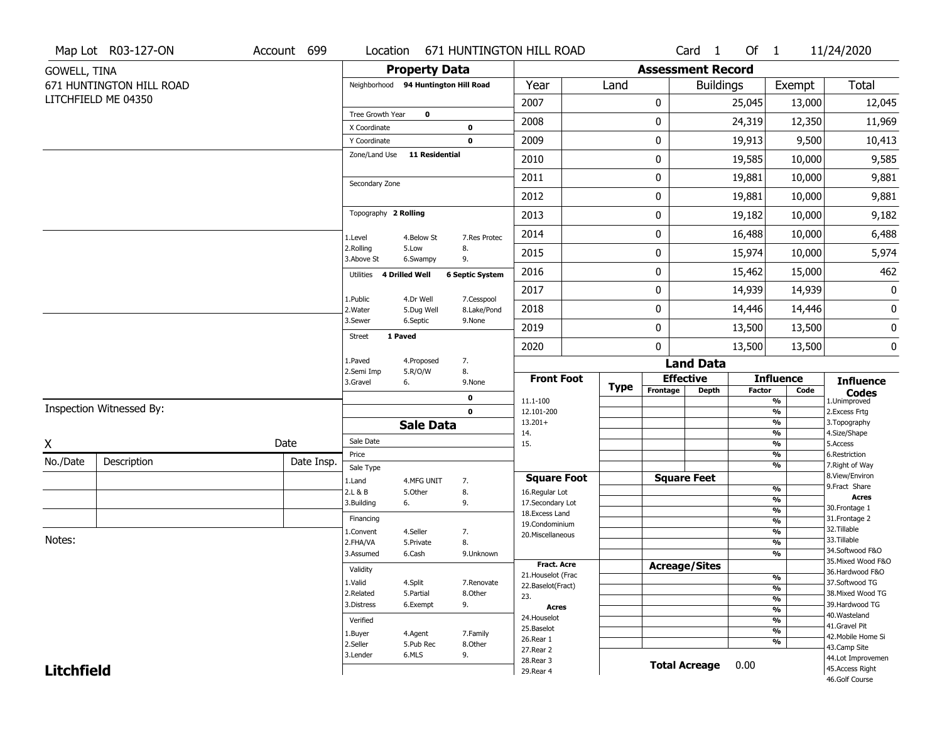|                     | Map Lot R03-127-ON       | Account 699 |                                  | Location                             | 671 HUNTINGTON HILL ROAD  |                                         |             |                          | Card <sub>1</sub>    | Of 1   |                                           | 11/24/2020                            |
|---------------------|--------------------------|-------------|----------------------------------|--------------------------------------|---------------------------|-----------------------------------------|-------------|--------------------------|----------------------|--------|-------------------------------------------|---------------------------------------|
| <b>GOWELL, TINA</b> |                          |             |                                  | <b>Property Data</b>                 |                           |                                         |             | <b>Assessment Record</b> |                      |        |                                           |                                       |
|                     | 671 HUNTINGTON HILL ROAD |             |                                  | Neighborhood 94 Huntington Hill Road |                           | Year                                    | Land        |                          | <b>Buildings</b>     |        | Exempt                                    | Total                                 |
|                     | LITCHFIELD ME 04350      |             |                                  |                                      |                           | 2007                                    |             | 0                        |                      | 25,045 | 13,000                                    | 12,045                                |
|                     |                          |             | Tree Growth Year<br>X Coordinate | $\bf o$                              | 0                         | 2008                                    |             | 0                        |                      | 24,319 | 12,350                                    | 11,969                                |
|                     |                          |             | Y Coordinate                     |                                      | $\mathbf 0$               | 2009                                    |             | 0                        |                      | 19,913 | 9,500                                     | 10,413                                |
|                     |                          |             | Zone/Land Use                    | <b>11 Residential</b>                |                           | 2010                                    |             | 0                        |                      | 19,585 | 10,000                                    | 9,585                                 |
|                     |                          |             |                                  |                                      |                           | 2011                                    |             | 0                        |                      | 19,881 | 10,000                                    | 9,881                                 |
|                     |                          |             | Secondary Zone                   |                                      |                           | 2012                                    |             | 0                        |                      | 19,881 | 10,000                                    | 9,881                                 |
|                     |                          |             | Topography 2 Rolling             |                                      |                           | 2013                                    |             | 0                        |                      | 19,182 | 10,000                                    | 9,182                                 |
|                     |                          |             | 1.Level                          | 4.Below St                           | 7.Res Protec              | 2014                                    |             | 0                        |                      | 16,488 | 10,000                                    | 6,488                                 |
|                     |                          |             | 2.Rolling<br>3.Above St          | 5.Low<br>6.Swampy                    | 8.<br>9.                  | 2015                                    |             | 0                        |                      | 15,974 | 10,000                                    | 5,974                                 |
|                     |                          |             | Utilities                        | 4 Drilled Well                       | <b>6 Septic System</b>    | 2016                                    |             | 0                        |                      | 15,462 | 15,000                                    | 462                                   |
|                     |                          |             |                                  |                                      |                           | 2017                                    |             | 0                        |                      | 14,939 | 14,939                                    | 0                                     |
|                     |                          |             | 1.Public<br>2. Water             | 4.Dr Well<br>5.Dug Well              | 7.Cesspool<br>8.Lake/Pond | 2018                                    |             | 0                        |                      | 14,446 | 14,446                                    | 0                                     |
|                     |                          |             | 3.Sewer                          | 6.Septic                             | 9.None                    | 2019                                    |             | 0                        |                      | 13,500 | 13,500                                    | $\pmb{0}$                             |
|                     |                          |             | <b>Street</b>                    | 1 Paved                              |                           | 2020                                    |             | 0                        |                      | 13,500 | 13,500                                    | 0                                     |
|                     |                          |             | 1.Paved<br>2.Semi Imp            | 4.Proposed<br>5.R/O/W                | 7.<br>8.                  |                                         |             |                          | <b>Land Data</b>     |        |                                           |                                       |
|                     |                          |             | 3.Gravel                         | 6.                                   | 9.None                    | <b>Front Foot</b>                       | <b>Type</b> |                          | <b>Effective</b>     |        | <b>Influence</b>                          | <b>Influence</b>                      |
|                     |                          |             |                                  |                                      | 0                         | 11.1-100                                |             | Frontage                 | <b>Depth</b>         | Factor | Code<br>%                                 | <b>Codes</b><br>1.Unimproved          |
|                     | Inspection Witnessed By: |             |                                  |                                      | $\mathbf 0$               | 12.101-200<br>$13.201+$                 |             |                          |                      |        | $\frac{9}{6}$<br>$\frac{9}{6}$            | 2. Excess Frtg<br>3. Topography       |
|                     |                          |             |                                  | <b>Sale Data</b>                     |                           | 14.                                     |             |                          |                      |        | $\frac{9}{6}$                             | 4.Size/Shape                          |
| X                   |                          | Date        | Sale Date<br>Price               |                                      |                           | 15.                                     |             |                          |                      |        | $\frac{9}{6}$<br>$\frac{9}{6}$            | 5.Access<br>6.Restriction             |
| No./Date            | Description              | Date Insp.  | Sale Type                        |                                      |                           |                                         |             |                          |                      |        | $\frac{9}{6}$                             | 7. Right of Way                       |
|                     |                          |             | 1.Land                           | 4.MFG UNIT                           | 7.                        | <b>Square Foot</b>                      |             |                          | <b>Square Feet</b>   |        |                                           | 8.View/Environ<br>9. Fract Share      |
|                     |                          |             | 2.L & B                          | 5.Other                              | 8.                        | 16.Regular Lot                          |             |                          |                      |        | $\frac{9}{6}$<br>$\frac{9}{6}$            | <b>Acres</b>                          |
|                     |                          |             | 3.Building                       | 6.                                   | 9.                        | 17.Secondary Lot<br>18. Excess Land     |             |                          |                      |        | $\overline{\frac{9}{6}}$                  | 30.Frontage 1                         |
|                     |                          |             | Financing                        |                                      |                           | 19.Condominium                          |             |                          |                      |        | $\frac{9}{6}$                             | 31. Frontage 2<br>32.Tillable         |
| Notes:              |                          |             | 1.Convent<br>2.FHA/VA            | 4.Seller<br>5.Private                | 7.<br>8.                  | 20.Miscellaneous                        |             |                          |                      |        | $\overline{\frac{9}{6}}$<br>$\frac{9}{6}$ | 33.Tillable                           |
|                     |                          |             | 3.Assumed                        | 6.Cash                               | 9.Unknown                 |                                         |             |                          |                      |        | $\overline{\frac{9}{6}}$                  | 34.Softwood F&O                       |
|                     |                          |             | Validity                         |                                      |                           | Fract. Acre                             |             |                          | <b>Acreage/Sites</b> |        |                                           | 35. Mixed Wood F&O<br>36.Hardwood F&O |
|                     |                          |             | 1.Valid                          | 4.Split                              | 7.Renovate                | 21. Houselot (Frac<br>22.Baselot(Fract) |             |                          |                      |        | %                                         | 37.Softwood TG                        |
|                     |                          |             | 2.Related                        | 5.Partial                            | 8.Other                   | 23.                                     |             |                          |                      |        | %<br>%                                    | 38. Mixed Wood TG                     |
|                     |                          |             | 3.Distress                       | 6.Exempt                             | 9.                        | <b>Acres</b>                            |             |                          |                      |        | $\frac{9}{6}$                             | 39.Hardwood TG                        |
|                     |                          |             | Verified                         |                                      |                           | 24. Houselot                            |             |                          |                      |        | %                                         | 40. Wasteland<br>41.Gravel Pit        |
|                     |                          |             | 1.Buyer                          | 4.Agent                              | 7.Family                  | 25.Baselot<br>26.Rear 1                 |             |                          |                      |        | $\frac{9}{6}$                             | 42. Mobile Home Si                    |
|                     |                          |             | 2.Seller                         | 5.Pub Rec                            | 8.Other                   | 27. Rear 2                              |             |                          |                      |        | %                                         | 43.Camp Site                          |
|                     |                          | 3.Lender    | 6.MLS                            | 9.                                   | 28. Rear 3                |                                         |             | <b>Total Acreage</b>     | 0.00                 |        | 44.Lot Improvemen                         |                                       |
| <b>Litchfield</b>   |                          |             |                                  |                                      |                           | 29. Rear 4                              |             |                          |                      |        |                                           | 45.Access Right<br>46.Golf Course     |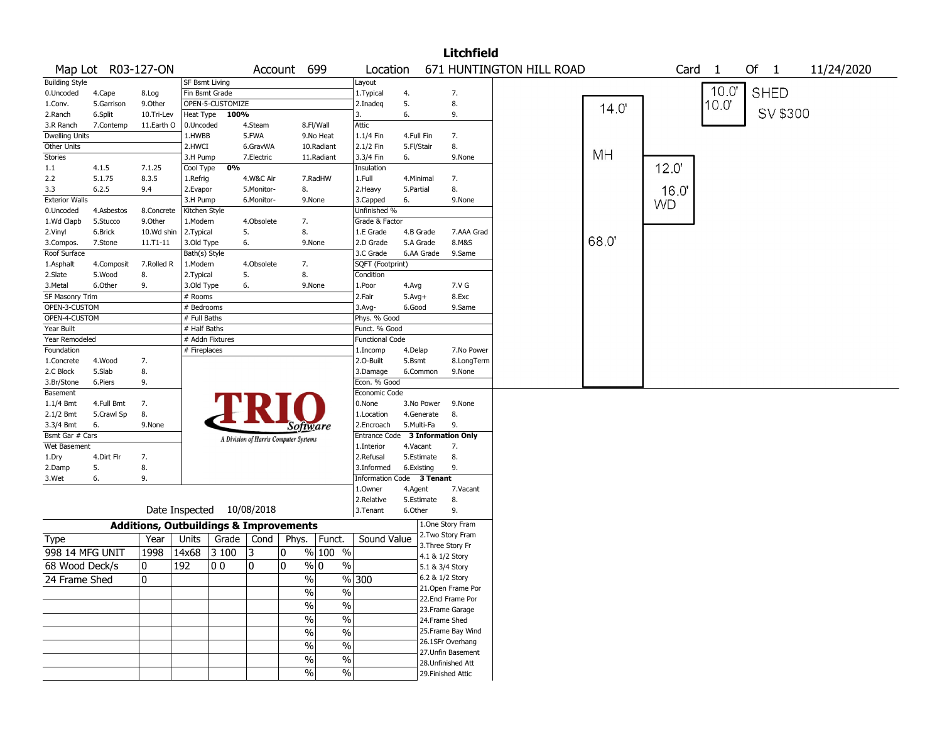|                       |                    |                                                   |                           |                  |                                       |             |                       |                               |                           | <b>Litchfield</b>                    |                          |      |           |                |                      |            |
|-----------------------|--------------------|---------------------------------------------------|---------------------------|------------------|---------------------------------------|-------------|-----------------------|-------------------------------|---------------------------|--------------------------------------|--------------------------|------|-----------|----------------|----------------------|------------|
|                       | Map Lot R03-127-ON |                                                   |                           |                  |                                       | Account 699 |                       | Location                      |                           |                                      | 671 HUNTINGTON HILL ROAD |      | Card      | $\overline{1}$ | Of<br>$\overline{1}$ | 11/24/2020 |
| <b>Building Style</b> |                    |                                                   | <b>SF Bsmt Living</b>     |                  |                                       |             |                       | Layout                        |                           |                                      |                          |      |           |                |                      |            |
| 0.Uncoded             | 4.Cape             | 8.Log                                             | Fin Bsmt Grade            |                  |                                       |             |                       | 1. Typical                    | 4.                        | 7.                                   |                          |      |           | 10.0'          | <b>SHED</b>          |            |
| 1.Conv.               | 5.Garrison         | 9.Other                                           |                           | OPEN-5-CUSTOMIZE |                                       |             |                       | 2.Inadeq                      | 5.                        | 8.                                   |                          | 14.0 |           | 10.0"          |                      |            |
| 2.Ranch               | 6.Split            | 10.Tri-Lev                                        | <b>Heat Type</b>          | 100%             |                                       |             |                       | 3.                            | 6.                        | 9.                                   |                          |      |           |                | SV \$300             |            |
| 3.R Ranch             | 7.Contemp          | 11.Earth O                                        | 0.Uncoded                 |                  | 4.Steam                               |             | 8.Fl/Wall             | Attic                         |                           |                                      |                          |      |           |                |                      |            |
| <b>Dwelling Units</b> |                    |                                                   | 1.HWBB                    |                  | 5.FWA                                 |             | 9.No Heat             | 1.1/4 Fin                     | 4.Full Fin                | 7.                                   |                          |      |           |                |                      |            |
| Other Units           |                    |                                                   | 2.HWCI                    |                  | 6.GravWA                              |             | 10.Radiant            | 2.1/2 Fin                     | 5.Fl/Stair                | 8.                                   |                          | MH   |           |                |                      |            |
| <b>Stories</b>        |                    |                                                   | 3.H Pump                  |                  | 7.Electric                            |             | 11.Radiant            | 3.3/4 Fin                     | 6.                        | 9.None                               |                          |      |           |                |                      |            |
| 1.1<br>2.2            | 4.1.5<br>5.1.75    | 7.1.25<br>8.3.5                                   | Cool Type                 | 0%               | 4.W&C Air                             |             | 7.RadHW               | Insulation<br>1.Full          | 4.Minimal                 | 7.                                   |                          |      | 12.0'     |                |                      |            |
| 3.3                   | 6.2.5              | 9.4                                               | 1.Refrig<br>2.Evapor      |                  | 5.Monitor-                            | 8.          |                       | 2.Heavy                       | 5.Partial                 | 8.                                   |                          |      |           |                |                      |            |
| <b>Exterior Walls</b> |                    |                                                   | 3.H Pump                  |                  | 6.Monitor-                            |             | 9.None                | 3.Capped                      | 6.                        | 9.None                               |                          |      | 16.0      |                |                      |            |
| 0.Uncoded             | 4.Asbestos         | 8.Concrete                                        | Kitchen Style             |                  |                                       |             |                       | Unfinished %                  |                           |                                      |                          |      | <b>WD</b> |                |                      |            |
| 1.Wd Clapb            | 5.Stucco           | 9.Other                                           | 1.Modern                  |                  | 4.Obsolete                            | 7.          |                       | Grade & Factor                |                           |                                      |                          |      |           |                |                      |            |
| 2.Vinyl               | 6.Brick            | 10.Wd shin                                        | 2. Typical                |                  | 5.                                    | 8.          |                       | 1.E Grade                     | 4.B Grade                 | 7.AAA Grad                           |                          |      |           |                |                      |            |
| 3.Compos.             | 7.Stone            | 11.T1-11                                          | 3.Old Type                |                  | 6.                                    |             | 9.None                | 2.D Grade                     | 5.A Grade                 | 8.M&S                                |                          | 68.0 |           |                |                      |            |
| Roof Surface          |                    |                                                   | Bath(s) Style             |                  |                                       |             |                       | 3.C Grade                     | 6.AA Grade                | 9.Same                               |                          |      |           |                |                      |            |
| 1.Asphalt             | 4.Composit         | 7.Rolled R                                        | 1.Modern                  |                  | 4.Obsolete                            | 7.          |                       | SQFT (Footprint)              |                           |                                      |                          |      |           |                |                      |            |
| 2.Slate               | 5.Wood             | 8.                                                | 2. Typical                |                  | 5.                                    | 8.          |                       | Condition                     |                           |                                      |                          |      |           |                |                      |            |
| 3.Metal               | 6.Other            | 9.                                                | 3.Old Type                |                  | 6.                                    |             | 9.None                | 1.Poor                        | 4.Avg                     | 7.V G                                |                          |      |           |                |                      |            |
| SF Masonry Trim       |                    |                                                   | # Rooms                   |                  |                                       |             |                       | 2.Fair                        | $5.Avg+$                  | 8.Exc                                |                          |      |           |                |                      |            |
| OPEN-3-CUSTOM         |                    |                                                   | # Bedrooms                |                  |                                       |             |                       | $3.$ Avg-                     | 6.Good                    | 9.Same                               |                          |      |           |                |                      |            |
| OPEN-4-CUSTOM         |                    |                                                   | # Full Baths              |                  |                                       |             |                       | Phys. % Good                  |                           |                                      |                          |      |           |                |                      |            |
| Year Built            |                    |                                                   | # Half Baths              |                  |                                       |             |                       | Funct. % Good                 |                           |                                      |                          |      |           |                |                      |            |
| Year Remodeled        |                    |                                                   | # Addn Fixtures           |                  |                                       |             |                       | Functional Code               |                           |                                      |                          |      |           |                |                      |            |
| Foundation            |                    |                                                   | # Fireplaces              |                  |                                       |             |                       | 1.Incomp                      | 4.Delap                   | 7.No Power                           |                          |      |           |                |                      |            |
| 1.Concrete            | 4.Wood             | 7.                                                |                           |                  |                                       |             |                       | 2.O-Built                     | 5.Bsmt                    | 8.LongTerm                           |                          |      |           |                |                      |            |
| 2.C Block             | 5.Slab             | 8.                                                |                           |                  |                                       |             |                       | 3.Damage                      | 6.Common                  | 9.None                               |                          |      |           |                |                      |            |
| 3.Br/Stone            | 6.Piers            | 9.                                                |                           |                  |                                       |             |                       | Econ. % Good<br>Economic Code |                           |                                      |                          |      |           |                |                      |            |
| Basement<br>1.1/4 Bmt | 4.Full Bmt         | 7.                                                |                           |                  |                                       |             |                       | 0.None                        | 3.No Power                | 9.None                               |                          |      |           |                |                      |            |
| 2.1/2 Bmt             | 5.Crawl Sp         | 8.                                                |                           |                  |                                       |             |                       | 1.Location                    | 4.Generate                | 8.                                   |                          |      |           |                |                      |            |
| 3.3/4 Bmt             | 6.                 | 9.None                                            |                           |                  |                                       |             |                       | 2.Encroach                    | 5.Multi-Fa                | 9.                                   |                          |      |           |                |                      |            |
| Bsmt Gar # Cars       |                    |                                                   |                           |                  |                                       |             | Software              | Entrance Code                 | <b>3 Information Only</b> |                                      |                          |      |           |                |                      |            |
| Wet Basement          |                    |                                                   |                           |                  | A Division of Harris Computer Systems |             |                       | 1.Interior                    | 4.Vacant                  | 7.                                   |                          |      |           |                |                      |            |
| 1.Dry                 | 4.Dirt Flr         | 7.                                                |                           |                  |                                       |             |                       | 2.Refusal                     | 5.Estimate                | 8.                                   |                          |      |           |                |                      |            |
| 2.Damp                | 5.                 | 8.                                                |                           |                  |                                       |             |                       | 3.Informed                    | 6.Existing                | 9.                                   |                          |      |           |                |                      |            |
| 3.Wet                 | 6.                 | 9.                                                |                           |                  |                                       |             |                       |                               | Information Code 3 Tenant |                                      |                          |      |           |                |                      |            |
|                       |                    |                                                   |                           |                  |                                       |             |                       | 1.0wner                       | 4.Agent                   | 7.Vacant                             |                          |      |           |                |                      |            |
|                       |                    |                                                   |                           |                  |                                       |             |                       | 2.Relative                    | 5.Estimate                | 8.                                   |                          |      |           |                |                      |            |
|                       |                    |                                                   | Date Inspected 10/08/2018 |                  |                                       |             |                       | 3.Tenant                      | 6.Other                   | 9.                                   |                          |      |           |                |                      |            |
|                       |                    | <b>Additions, Outbuildings &amp; Improvements</b> |                           |                  |                                       |             |                       |                               |                           | 1.One Story Fram                     |                          |      |           |                |                      |            |
| Type                  |                    | Year                                              | Units                     | Grade            | Cond                                  | Phys.       | Funct.                | Sound Value                   |                           | 2. Two Story Fram                    |                          |      |           |                |                      |            |
| 998 14 MFG UNIT       |                    | 1998                                              | 14x68                     | 3 100            | 3                                     | 0           | $%100$ %              |                               |                           | 3. Three Story Fr<br>4.1 & 1/2 Story |                          |      |           |                |                      |            |
| 68 Wood Deck/s        |                    | 0                                                 | 192                       | 00               | 0                                     | 0           | % 0<br>%              |                               |                           | 5.1 & 3/4 Story                      |                          |      |           |                |                      |            |
| 24 Frame Shed         |                    | 10                                                |                           |                  |                                       |             | %                     | $\frac{9}{6}$ 300             |                           | 6.2 & 1/2 Story                      |                          |      |           |                |                      |            |
|                       |                    |                                                   |                           |                  |                                       |             | $\%$<br>$\frac{1}{2}$ |                               |                           | 21. Open Frame Por                   |                          |      |           |                |                      |            |
|                       |                    |                                                   |                           |                  |                                       |             | $\frac{0}{6}$         |                               |                           | 22.Encl Frame Por                    |                          |      |           |                |                      |            |
|                       |                    |                                                   |                           |                  |                                       |             | $\%$                  |                               |                           | 23. Frame Garage                     |                          |      |           |                |                      |            |
|                       |                    |                                                   |                           |                  |                                       |             | $\frac{1}{2}$<br>$\%$ |                               |                           | 24.Frame Shed                        |                          |      |           |                |                      |            |
|                       |                    |                                                   |                           |                  |                                       |             | $\frac{1}{2}$<br>$\%$ |                               |                           | 25. Frame Bay Wind                   |                          |      |           |                |                      |            |
|                       |                    |                                                   |                           |                  |                                       |             | $\%$<br>$\%$          |                               |                           | 26.1SFr Overhang                     |                          |      |           |                |                      |            |
|                       |                    |                                                   |                           |                  |                                       |             | $\frac{1}{2}$<br>%    |                               |                           | 27. Unfin Basement                   |                          |      |           |                |                      |            |
|                       |                    |                                                   |                           |                  |                                       |             | $\sqrt{6}$            |                               |                           | 28. Unfinished Att                   |                          |      |           |                |                      |            |
|                       |                    |                                                   |                           |                  |                                       |             | $\%$                  |                               |                           | 29. Finished Attic                   |                          |      |           |                |                      |            |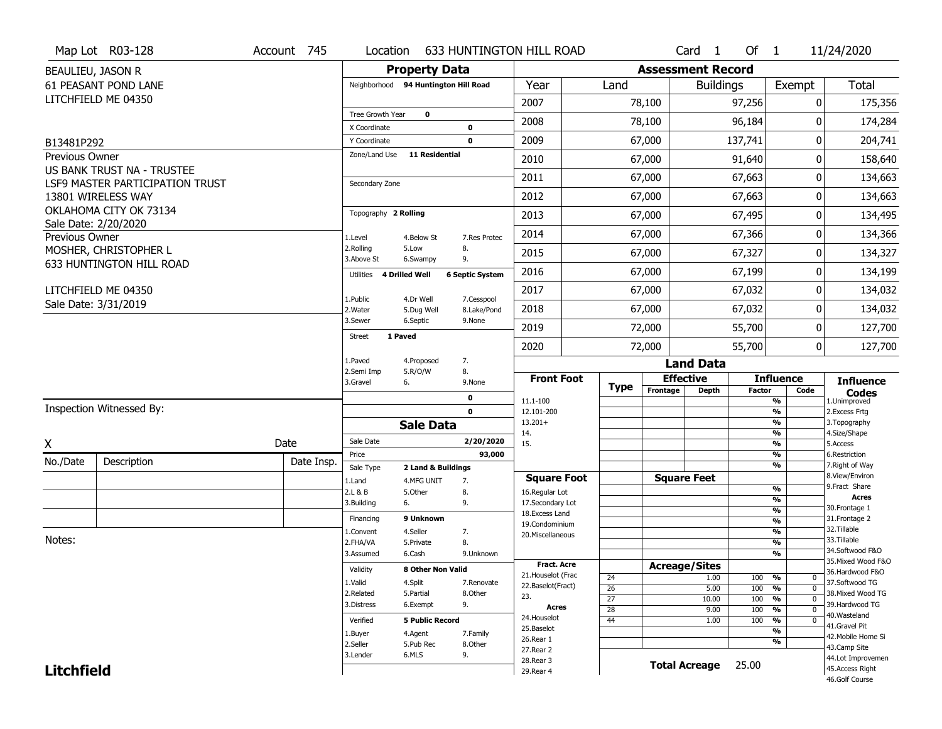|                                     | Map Lot R03-128                 | Account 745 | Location                     |                                      |                        | <b>633 HUNTINGTON HILL ROAD</b>   |                                    |                          | Card <sub>1</sub>    | Of $1$        |                                            | 11/24/2020                           |
|-------------------------------------|---------------------------------|-------------|------------------------------|--------------------------------------|------------------------|-----------------------------------|------------------------------------|--------------------------|----------------------|---------------|--------------------------------------------|--------------------------------------|
| BEAULIEU, JASON R                   |                                 |             |                              | <b>Property Data</b>                 |                        |                                   |                                    | <b>Assessment Record</b> |                      |               |                                            |                                      |
|                                     | <b>61 PEASANT POND LANE</b>     |             |                              | Neighborhood 94 Huntington Hill Road |                        | Year                              | Land                               |                          | <b>Buildings</b>     |               | Exempt                                     | Total                                |
|                                     | LITCHFIELD ME 04350             |             |                              |                                      |                        | 2007                              |                                    | 78,100                   |                      | 97,256        | 0                                          | 175,356                              |
|                                     |                                 |             | Tree Growth Year             | $\mathbf 0$                          |                        | 2008                              |                                    | 78,100                   |                      | 96,184        | 0                                          | 174,284                              |
|                                     |                                 |             | X Coordinate<br>Y Coordinate |                                      | 0<br>$\mathbf 0$       | 2009                              |                                    | 67,000                   |                      | 137,741       | 0                                          | 204,741                              |
| B13481P292<br><b>Previous Owner</b> |                                 |             | Zone/Land Use                | <b>11 Residential</b>                |                        |                                   |                                    |                          |                      |               |                                            |                                      |
|                                     | US BANK TRUST NA - TRUSTEE      |             |                              |                                      |                        | 2010                              |                                    | 67,000                   |                      | 91,640        | 0                                          | 158,640                              |
|                                     | LSF9 MASTER PARTICIPATION TRUST |             | Secondary Zone               |                                      |                        | 2011                              |                                    | 67,000                   |                      | 67,663        | 0                                          | 134,663                              |
|                                     | 13801 WIRELESS WAY              |             |                              |                                      |                        | 2012                              |                                    | 67,000                   |                      | 67,663        | 0                                          | 134,663                              |
|                                     | OKLAHOMA CITY OK 73134          |             | Topography 2 Rolling         |                                      |                        | 2013                              |                                    | 67,000                   |                      | 67,495        | 0                                          | 134,495                              |
| Previous Owner                      | Sale Date: 2/20/2020            |             | 1.Level                      | 4.Below St                           | 7.Res Protec           | 2014                              |                                    | 67,000                   |                      | 67,366        | 0                                          | 134,366                              |
|                                     | MOSHER, CHRISTOPHER L           |             | 2.Rolling<br>3.Above St      | 5.Low<br>6.Swampy                    | 8.<br>9.               | 2015                              |                                    | 67,000                   |                      | 67,327        | 0                                          | 134,327                              |
|                                     | 633 HUNTINGTON HILL ROAD        |             | Utilities                    | 4 Drilled Well                       | <b>6 Septic System</b> | 2016                              |                                    | 67,000                   |                      | 67,199        | 0                                          | 134,199                              |
|                                     | LITCHFIELD ME 04350             |             | 1.Public                     | 4.Dr Well                            | 7.Cesspool             | 2017                              |                                    | 67,000                   |                      | 67,032        | 0                                          | 134,032                              |
|                                     | Sale Date: 3/31/2019            |             | 2. Water                     | 5.Dug Well                           | 8.Lake/Pond            | 2018                              |                                    | 67,000                   |                      | 67,032        | 0                                          | 134,032                              |
|                                     |                                 |             | 3.Sewer                      | 6.Septic                             | 9.None                 | 2019                              |                                    | 72,000                   |                      | 55,700        | 0                                          | 127,700                              |
|                                     |                                 |             | <b>Street</b>                | 1 Paved                              |                        | 2020                              |                                    | 72,000                   |                      | 55,700        | 0                                          | 127,700                              |
|                                     |                                 |             | 1.Paved                      | 4.Proposed                           | 7.                     |                                   |                                    |                          | <b>Land Data</b>     |               |                                            |                                      |
|                                     |                                 |             | 2.Semi Imp<br>3.Gravel       | 5.R/O/W<br>6.                        | 8.<br>9.None           | <b>Front Foot</b>                 | <b>Type</b>                        | Frontage                 | <b>Effective</b>     | <b>Factor</b> | <b>Influence</b><br>Code                   | <b>Influence</b>                     |
|                                     |                                 |             |                              |                                      | 0                      | 11.1-100                          |                                    |                          | <b>Depth</b>         |               | %                                          | <b>Codes</b><br>1.Unimproved         |
|                                     | Inspection Witnessed By:        |             |                              |                                      | $\mathbf 0$            | 12.101-200                        |                                    |                          |                      |               | %                                          | 2. Excess Frtg                       |
|                                     |                                 |             |                              | <b>Sale Data</b>                     |                        | $13.201+$<br>14.                  |                                    |                          |                      |               | %<br>$\frac{9}{6}$                         | 3. Topography<br>4.Size/Shape        |
| X                                   |                                 | Date        | Sale Date                    |                                      | 2/20/2020              | 15.                               |                                    |                          |                      |               | %                                          | 5.Access                             |
| No./Date                            | Description                     | Date Insp.  | Price<br>Sale Type           | 2 Land & Buildings                   | 93,000                 |                                   |                                    |                          |                      |               | $\frac{9}{6}$<br>%                         | 6.Restriction<br>7. Right of Way     |
|                                     |                                 |             | 1.Land                       | 4.MFG UNIT                           | 7.                     | <b>Square Foot</b>                |                                    |                          | <b>Square Feet</b>   |               |                                            | 8.View/Environ                       |
|                                     |                                 |             | 2.L & B                      | 5.Other                              | 8.                     | 16.Regular Lot                    |                                    |                          |                      |               | $\frac{9}{6}$                              | 9. Fract Share<br><b>Acres</b>       |
|                                     |                                 |             | 3.Building                   | 6.                                   | 9.                     | 17.Secondary Lot                  |                                    |                          |                      |               | %<br>$\frac{9}{6}$                         | 30. Frontage 1                       |
|                                     |                                 |             | Financing                    | 9 Unknown                            |                        | 18. Excess Land<br>19.Condominium |                                    |                          |                      |               | $\frac{9}{6}$                              | 31. Frontage 2                       |
|                                     |                                 |             | 1.Convent                    | 4.Seller                             | 7.                     | 20.Miscellaneous                  |                                    |                          |                      |               | $\frac{9}{6}$                              | 32. Tillable                         |
| Notes:                              |                                 |             | 2.FHA/VA                     | 5.Private                            | 8.                     |                                   |                                    |                          |                      |               | $\frac{9}{6}$                              | 33.Tillable<br>34.Softwood F&O       |
|                                     |                                 |             | 3.Assumed                    | 6.Cash                               | 9.Unknown              |                                   |                                    |                          |                      |               | $\%$                                       | 35. Mixed Wood F&O                   |
|                                     |                                 |             | Validity                     | 8 Other Non Valid                    |                        | Fract. Acre<br>21. Houselot (Frac |                                    | <b>Acreage/Sites</b>     |                      |               |                                            | 36.Hardwood F&O                      |
|                                     |                                 |             | 1.Valid                      | 4.Split                              | 7.Renovate             | 22.Baselot(Fract)                 | 24                                 |                          | 1.00                 | 100           | %<br>0                                     | 37.Softwood TG                       |
|                                     |                                 |             | 2.Related                    | 5.Partial                            | 8.Other                | 23.                               | $\overline{26}$<br>$\overline{27}$ |                          | 5.00<br>10.00        | 100<br>100    | $\overline{0}$<br>%<br>$\overline{0}$<br>% | 38. Mixed Wood TG                    |
|                                     |                                 |             | 3.Distress                   | 6.Exempt                             | 9.                     | Acres                             | $\overline{28}$                    |                          | 9.00                 | 100           | %<br>$\mathbf{0}$                          | 39.Hardwood TG                       |
|                                     |                                 |             | Verified                     | <b>5 Public Record</b>               |                        | 24. Houselot                      | 44                                 |                          | 1.00                 | 100           | %<br>$\mathbf 0$                           | 40. Wasteland                        |
|                                     |                                 |             | 1.Buyer                      | 4.Agent                              | 7.Family               | 25.Baselot                        |                                    |                          |                      |               | %                                          | 41.Gravel Pit                        |
|                                     |                                 |             | 2.Seller                     |                                      | 8.Other                | 26.Rear 1                         |                                    |                          |                      |               | %                                          | 42. Mobile Home Si<br>43.Camp Site   |
|                                     |                                 |             |                              | 5.Pub Rec                            |                        |                                   |                                    |                          |                      |               |                                            |                                      |
|                                     |                                 |             | 3.Lender                     | 6.MLS                                | 9.                     | 27.Rear 2                         |                                    |                          |                      |               |                                            |                                      |
| <b>Litchfield</b>                   |                                 |             |                              |                                      |                        | 28.Rear 3<br>29. Rear 4           |                                    |                          | <b>Total Acreage</b> | 25.00         |                                            | 44.Lot Improvemen<br>45.Access Right |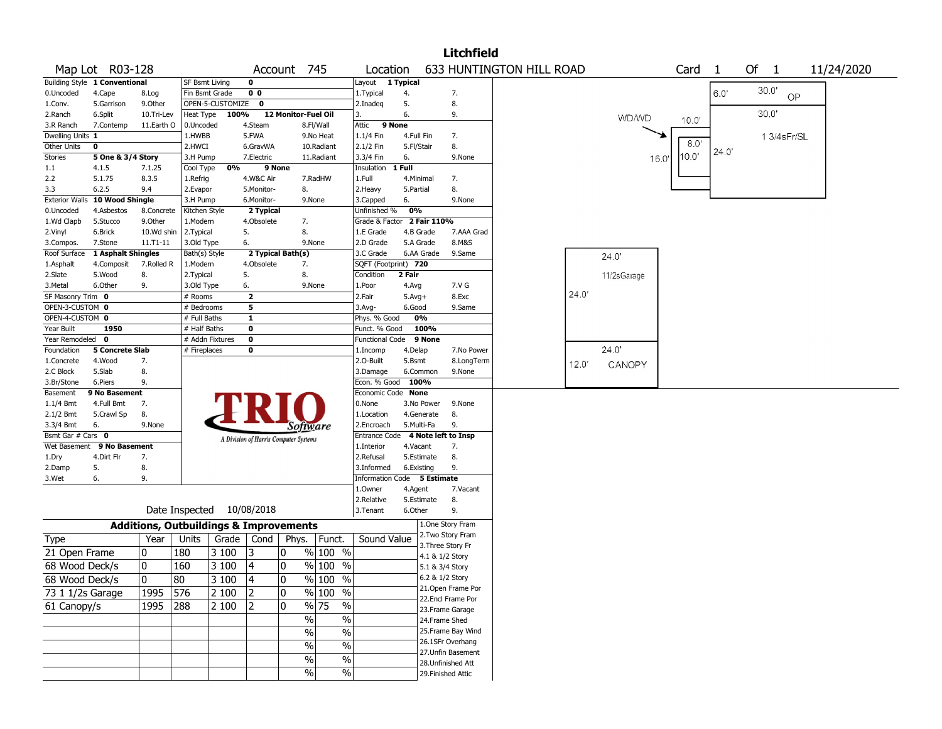|                       |                               |            |                                                   |                  |                                       |                     |                          |                                   |            |             | <b>Litchfield</b>  |                          |       |              |      |       |       |                |                |            |
|-----------------------|-------------------------------|------------|---------------------------------------------------|------------------|---------------------------------------|---------------------|--------------------------|-----------------------------------|------------|-------------|--------------------|--------------------------|-------|--------------|------|-------|-------|----------------|----------------|------------|
|                       | Map Lot R03-128               |            |                                                   |                  |                                       | Account 745         |                          | Location                          |            |             |                    | 633 HUNTINGTON HILL ROAD |       |              |      | Card  | - 1   | Of             | $\overline{1}$ | 11/24/2020 |
|                       | Building Style 1 Conventional |            | SF Bsmt Living                                    |                  | 0                                     |                     |                          | Layout                            | 1 Typical  |             |                    |                          |       |              |      |       |       |                |                |            |
| 0.Uncoded             | 4.Cape                        | 8.Log      | Fin Bsmt Grade                                    |                  | 0 <sub>0</sub>                        |                     |                          | 1.Typical                         | 4.         |             | 7.                 |                          |       |              |      |       | 6.0'  | $30.0^{\circ}$ | OP             |            |
| 1.Conv.               | 5.Garrison                    | 9.Other    |                                                   | OPEN-5-CUSTOMIZE | 0                                     |                     |                          | 2.Inadeq                          | 5.         |             | 8.                 |                          |       |              |      |       |       |                |                |            |
| 2.Ranch               | 6.Split                       | 10.Tri-Lev | Heat Type                                         | 100%             |                                       | 12 Monitor-Fuel Oil |                          | 3.                                | 6.         |             | 9.                 |                          |       | <b>WD/WD</b> |      | 10.0' |       | 30.0'          |                |            |
| 3.R Ranch             | 7.Contemp                     | 11.Earth O | 0.Uncoded                                         |                  | 4.Steam                               |                     | 8.Fl/Wall                | Attic                             | 9 None     |             |                    |                          |       |              |      |       |       |                |                |            |
| Dwelling Units 1      |                               |            | 1.HWBB                                            |                  | 5.FWA                                 |                     | 9.No Heat                | 1.1/4 Fin                         | 4.Full Fin |             | 7.                 |                          |       |              |      |       |       |                | 1 3/4sFr/SL    |            |
| Other Units           | 0                             |            | 2.HWCI                                            |                  | 6.GravWA                              |                     | 10.Radiant               | 2.1/2 Fin                         | 5.Fl/Stair |             | 8.                 |                          |       |              |      | 8.0   | 24.0' |                |                |            |
| Stories               | 5 One & 3/4 Story             |            | 3.H Pump                                          |                  | 7.Electric                            |                     | 11.Radiant               | 3.3/4 Fin                         | 6.         |             | 9.None             |                          |       |              | 16.0 | 10.0" |       |                |                |            |
| 1.1                   | 4.1.5                         | 7.1.25     | Cool Type                                         | 0%               | 9 None                                |                     |                          | Insulation                        | 1 Full     |             |                    |                          |       |              |      |       |       |                |                |            |
| 2.2                   | 5.1.75                        | 8.3.5      | 1.Refrig                                          |                  | 4.W&C Air                             |                     | 7.RadHW                  | 1.Full                            | 4.Minimal  |             | 7.                 |                          |       |              |      |       |       |                |                |            |
| 3.3                   | 6.2.5                         | 9.4        | 2.Evapor                                          |                  | 5.Monitor-                            | 8.                  |                          | 2.Heavy                           | 5.Partial  |             | 8.                 |                          |       |              |      |       |       |                |                |            |
| <b>Exterior Walls</b> | 10 Wood Shingle               |            | 3.H Pump                                          |                  | 6.Monitor-                            |                     | 9.None                   | 3.Capped                          | 6.         |             | 9.None             |                          |       |              |      |       |       |                |                |            |
| 0.Uncoded             | 4.Asbestos                    | 8.Concrete | Kitchen Style                                     |                  | 2 Typical                             |                     |                          | Unfinished %                      | 0%         |             |                    |                          |       |              |      |       |       |                |                |            |
| 1.Wd Clapb            | 5.Stucco                      | 9.0ther    | 1.Modern                                          |                  | 4.Obsolete                            | 7.                  |                          | Grade & Factor                    |            | 2 Fair 110% |                    |                          |       |              |      |       |       |                |                |            |
| 2.Vinyl               | 6.Brick                       | 10.Wd shin | 2. Typical                                        |                  | 5.                                    | 8.                  |                          | 1.E Grade                         |            | 4.B Grade   | 7.AAA Grad         |                          |       |              |      |       |       |                |                |            |
| 3.Compos.             | 7.Stone                       | 11.T1-11   | 3.Old Type                                        |                  | 6.                                    |                     | 9.None                   | 2.D Grade                         |            | 5.A Grade   | 8.M&S              |                          |       |              |      |       |       |                |                |            |
| Roof Surface          | 1 Asphalt Shingles            |            | Bath(s) Style                                     |                  |                                       | 2 Typical Bath(s)   |                          | 3.C Grade                         |            | 6.AA Grade  | 9.Same             |                          |       | 24.0'        |      |       |       |                |                |            |
| 1.Asphalt             | 4.Composit                    | 7.Rolled R | 1.Modern                                          |                  | 4.Obsolete                            | 7.                  |                          | SQFT (Footprint) 720              |            |             |                    |                          |       |              |      |       |       |                |                |            |
| 2.Slate               | 5.Wood                        | 8.         | 2. Typical                                        |                  | 5.                                    | 8.                  |                          | Condition                         | 2 Fair     |             |                    |                          |       | 11/2sGarage  |      |       |       |                |                |            |
| 3.Metal               | 6.Other                       | 9.         | 3.Old Type                                        |                  | 6.                                    |                     | 9.None                   | 1.Poor                            | 4.Avg      |             | 7.V G              |                          |       |              |      |       |       |                |                |            |
| SF Masonry Trim 0     |                               |            | # Rooms                                           |                  | $\mathbf{z}$                          |                     |                          | 2.Fair                            | $5.Avg+$   |             | 8.Exc              |                          | 24.0' |              |      |       |       |                |                |            |
| OPEN-3-CUSTOM 0       |                               |            | Bedrooms                                          |                  | 5                                     |                     |                          | 3.Avg-                            | 6.Good     |             | 9.Same             |                          |       |              |      |       |       |                |                |            |
| OPEN-4-CUSTOM 0       |                               |            | # Full Baths                                      |                  | 1                                     |                     |                          | Phys. % Good                      |            | 0%          |                    |                          |       |              |      |       |       |                |                |            |
| Year Built            | 1950                          |            | # Half Baths                                      |                  | 0                                     |                     |                          | Funct. % Good                     |            | 100%        |                    |                          |       |              |      |       |       |                |                |            |
| Year Remodeled 0      |                               |            | # Addn Fixtures                                   |                  | $\mathbf 0$                           |                     |                          | <b>Functional Code</b>            |            | 9 None      |                    |                          |       |              |      |       |       |                |                |            |
| Foundation            | 5 Concrete Slab               |            | # Fireplaces                                      |                  | 0                                     |                     |                          | 1.Incomp                          | 4.Delap    |             | 7.No Power         |                          |       | 24.0         |      |       |       |                |                |            |
| 1.Concrete            | 4.Wood                        | 7.         |                                                   |                  |                                       |                     |                          | 2.O-Built                         | 5.Bsmt     |             | 8.LongTerm         |                          | 12.0' | CANOPY       |      |       |       |                |                |            |
| 2.C Block             | 5.Slab                        | 8.         |                                                   |                  |                                       |                     |                          | 3.Damage                          |            | 6.Common    | 9.None             |                          |       |              |      |       |       |                |                |            |
| 3.Br/Stone            | 6.Piers                       | 9.         |                                                   |                  |                                       |                     |                          | Econ. % Good                      |            | 100%        |                    |                          |       |              |      |       |       |                |                |            |
| Basement              | 9 No Basement                 |            |                                                   |                  |                                       |                     |                          | Economic Code None                |            |             |                    |                          |       |              |      |       |       |                |                |            |
| 1.1/4 Bmt             | 4.Full Bmt                    | 7.         |                                                   |                  |                                       |                     |                          | 0.None                            |            | 3.No Power  | 9.None             |                          |       |              |      |       |       |                |                |            |
| $2.1/2$ Bmt           | 5.Crawl Sp                    | 8.         |                                                   |                  |                                       |                     |                          | 1.Location                        |            | 4.Generate  | 8.                 |                          |       |              |      |       |       |                |                |            |
| 3.3/4 Bmt             | 6.                            | 9.None     |                                                   |                  |                                       | Software            |                          | 2.Encroach                        |            | 5.Multi-Fa  | 9.                 |                          |       |              |      |       |       |                |                |            |
| Bsmt Gar # Cars 0     |                               |            |                                                   |                  | A Division of Harris Computer Systems |                     |                          | Entrance Code 4 Note left to Insp |            |             |                    |                          |       |              |      |       |       |                |                |            |
| Wet Basement          | 9 No Basement                 |            |                                                   |                  |                                       |                     |                          | 1.Interior                        | 4.Vacant   |             | 7.                 |                          |       |              |      |       |       |                |                |            |
| 1.Dry                 | 4.Dirt Flr                    | 7.         |                                                   |                  |                                       |                     |                          | 2.Refusal                         |            | 5.Estimate  | 8.                 |                          |       |              |      |       |       |                |                |            |
| 2.Damp                | 5.                            | 8.         |                                                   |                  |                                       |                     |                          | 3.Informed                        | 6.Existing |             | 9.                 |                          |       |              |      |       |       |                |                |            |
| 3.Wet                 | 6.                            | 9.         |                                                   |                  |                                       |                     |                          | Information Code 5 Estimate       |            |             |                    |                          |       |              |      |       |       |                |                |            |
|                       |                               |            |                                                   |                  |                                       |                     |                          | 1.Owner                           | 4.Agent    |             | 7.Vacant           |                          |       |              |      |       |       |                |                |            |
|                       |                               |            |                                                   |                  |                                       |                     |                          | 2.Relative                        |            | 5.Estimate  | 8.                 |                          |       |              |      |       |       |                |                |            |
|                       |                               |            | Date Inspected 10/08/2018                         |                  |                                       |                     |                          | 3.Tenant                          | 6.Other    |             | 9.                 |                          |       |              |      |       |       |                |                |            |
|                       |                               |            | <b>Additions, Outbuildings &amp; Improvements</b> |                  |                                       |                     |                          |                                   |            |             | 1.One Story Fram   |                          |       |              |      |       |       |                |                |            |
| Type                  |                               | Year       | Units                                             | Grade            | Cond                                  | Phys.               | Funct.                   | Sound Value                       |            |             | 2. Two Story Fram  |                          |       |              |      |       |       |                |                |            |
| 21 Open Frame         |                               | 0          | 180                                               | 3 100            | 13                                    | 0                   | $%100$ %                 |                                   |            |             | 3. Three Story Fr  |                          |       |              |      |       |       |                |                |            |
|                       |                               |            |                                                   |                  |                                       |                     | $%100$ %                 |                                   |            |             | 4.1 & 1/2 Story    |                          |       |              |      |       |       |                |                |            |
| 68 Wood Deck/s        |                               | 0          | 160                                               | 3 100            | 4                                     | 0                   |                          |                                   |            |             | 5.1 & 3/4 Story    |                          |       |              |      |       |       |                |                |            |
| 68 Wood Deck/s        |                               | 0          | $\overline{80}$                                   | 3100             | $\overline{14}$                       | 0                   | % 100 %                  |                                   |            |             | 6.2 & 1/2 Story    |                          |       |              |      |       |       |                |                |            |
| 73 1 1/2s Garage      |                               | 1995       | 576                                               | 2 100            | 2                                     | 10                  | % 100 %                  |                                   |            |             | 21.Open Frame Por  |                          |       |              |      |       |       |                |                |            |
| 61 Canopy/s           |                               | 1995       | 288                                               | 2 100            | 12                                    | 10                  | $\frac{9}{6}$ 75<br>$\%$ |                                   |            |             | 22.Encl Frame Por  |                          |       |              |      |       |       |                |                |            |
|                       |                               |            |                                                   |                  |                                       |                     |                          |                                   |            |             | 23. Frame Garage   |                          |       |              |      |       |       |                |                |            |
|                       |                               |            |                                                   |                  |                                       | $\%$                | $\%$                     |                                   |            |             | 24.Frame Shed      |                          |       |              |      |       |       |                |                |            |
|                       |                               |            |                                                   |                  |                                       | $\%$                | $\%$                     |                                   |            |             | 25. Frame Bay Wind |                          |       |              |      |       |       |                |                |            |
|                       |                               |            |                                                   |                  |                                       | $\%$                | $\overline{\frac{0}{6}}$ |                                   |            |             | 26.1SFr Overhang   |                          |       |              |      |       |       |                |                |            |
|                       |                               |            |                                                   |                  |                                       | $\%$                | $\%$                     |                                   |            |             | 27.Unfin Basement  |                          |       |              |      |       |       |                |                |            |
|                       |                               |            |                                                   |                  |                                       |                     |                          |                                   |            |             | 28.Unfinished Att  |                          |       |              |      |       |       |                |                |            |
|                       |                               |            |                                                   |                  |                                       | %                   | $\%$                     |                                   |            |             | 29. Finished Attic |                          |       |              |      |       |       |                |                |            |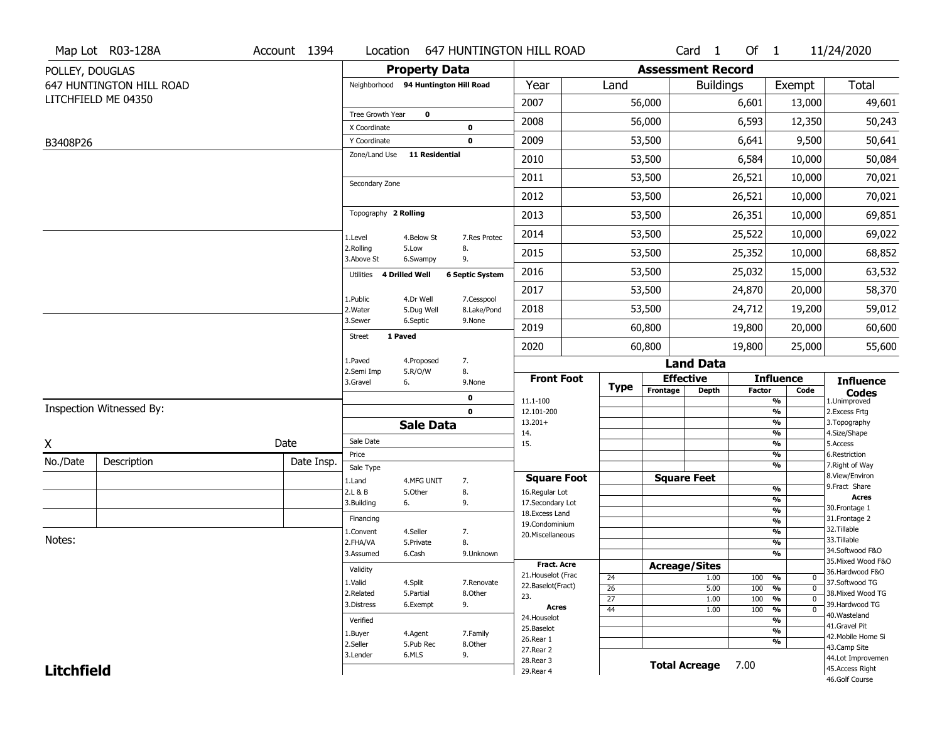|                   | Map Lot R03-128A         | Account 1394 |                                      |                       |                            | Location 647 HUNTINGTON HILL ROAD  |                 |                              | Card <sub>1</sub> | Of $1$        |                              | 11/24/2020                           |
|-------------------|--------------------------|--------------|--------------------------------------|-----------------------|----------------------------|------------------------------------|-----------------|------------------------------|-------------------|---------------|------------------------------|--------------------------------------|
| POLLEY, DOUGLAS   |                          |              |                                      | <b>Property Data</b>  |                            |                                    |                 | <b>Assessment Record</b>     |                   |               |                              |                                      |
|                   | 647 HUNTINGTON HILL ROAD |              | Neighborhood 94 Huntington Hill Road |                       |                            | Year                               | Land            |                              | <b>Buildings</b>  |               | Exempt                       | Total                                |
|                   | LITCHFIELD ME 04350      |              |                                      |                       |                            | 2007                               |                 | 56,000                       |                   | 6,601         | 13,000                       | 49,601                               |
|                   |                          |              | Tree Growth Year                     | $\mathbf 0$           |                            | 2008                               |                 | 56,000                       |                   | 6,593         | 12,350                       | 50,243                               |
| B3408P26          |                          |              | X Coordinate<br>Y Coordinate         |                       | $\mathbf 0$<br>$\mathbf 0$ | 2009                               |                 | 53,500                       |                   | 6,641         | 9,500                        | 50,641                               |
|                   |                          |              | Zone/Land Use                        | <b>11 Residential</b> |                            | 2010                               |                 | 53,500                       |                   | 6,584         | 10,000                       | 50,084                               |
|                   |                          |              |                                      |                       |                            | 2011                               |                 | 53,500                       |                   | 26,521        | 10,000                       | 70,021                               |
|                   |                          |              | Secondary Zone                       |                       |                            | 2012                               |                 | 53,500                       |                   | 26,521        |                              |                                      |
|                   |                          |              | Topography 2 Rolling                 |                       |                            |                                    |                 |                              |                   |               | 10,000                       | 70,021                               |
|                   |                          |              |                                      |                       |                            | 2013                               |                 | 53,500                       |                   | 26,351        | 10,000                       | 69,851                               |
|                   |                          |              | 1.Level<br>2.Rolling                 | 4.Below St<br>5.Low   | 7.Res Protec<br>8.         | 2014                               |                 | 53,500                       |                   | 25,522        | 10,000                       | 69,022                               |
|                   |                          |              | 3.Above St                           | 6.Swampy              | 9.                         | 2015                               |                 | 53,500                       |                   | 25,352        | 10,000                       | 68,852                               |
|                   |                          |              | Utilities 4 Drilled Well             |                       | <b>6 Septic System</b>     | 2016                               |                 | 53,500                       |                   | 25,032        | 15,000                       | 63,532                               |
|                   |                          |              | 1.Public                             | 4.Dr Well             | 7.Cesspool                 | 2017                               |                 | 53,500                       |                   | 24,870        | 20,000                       | 58,370                               |
|                   |                          |              | 2. Water                             | 5.Dug Well            | 8.Lake/Pond                | 2018                               |                 | 53,500                       |                   | 24,712        | 19,200                       | 59,012                               |
|                   |                          |              | 3.Sewer<br>1 Paved<br><b>Street</b>  | 6.Septic              | 9.None                     | 2019                               |                 | 60,800                       |                   | 19,800        | 20,000                       | 60,600                               |
|                   |                          |              |                                      |                       |                            | 2020                               |                 | 60,800                       |                   | 19,800        | 25,000                       | 55,600                               |
|                   |                          |              | 1.Paved<br>2.Semi Imp                | 4.Proposed<br>5.R/O/W | 7.<br>8.                   |                                    |                 |                              | <b>Land Data</b>  |               |                              |                                      |
|                   |                          |              | 3.Gravel                             | 6.                    | 9.None                     | <b>Front Foot</b>                  | <b>Type</b>     | <b>Effective</b><br>Frontage |                   |               | <b>Influence</b>             | <b>Influence</b>                     |
|                   |                          |              |                                      |                       | 0                          | 11.1-100                           |                 |                              | <b>Depth</b>      | <b>Factor</b> | Code<br>%                    | <b>Codes</b><br>1.Unimproved         |
|                   | Inspection Witnessed By: |              |                                      |                       | $\mathbf 0$                | 12.101-200<br>$13.201+$            |                 |                              |                   |               | %<br>%                       | 2.Excess Frtg<br>3. Topography       |
|                   |                          |              |                                      | <b>Sale Data</b>      |                            | 14.                                |                 |                              |                   |               | %                            | 4.Size/Shape                         |
| χ                 |                          | Date         | Sale Date                            |                       |                            | 15.                                |                 |                              |                   |               | %<br>%                       | 5.Access                             |
| No./Date          | Description              | Date Insp.   | Price<br>Sale Type                   |                       |                            |                                    |                 |                              |                   |               | %                            | 6.Restriction<br>7. Right of Way     |
|                   |                          |              | 1.Land                               | 4.MFG UNIT            | 7.                         | <b>Square Foot</b>                 |                 | <b>Square Feet</b>           |                   |               |                              | 8.View/Environ                       |
|                   |                          |              | 2.L & B                              | 5.Other               | 8.                         | 16.Regular Lot                     |                 |                              |                   |               | %                            | 9.Fract Share<br><b>Acres</b>        |
|                   |                          |              | 3.Building                           | 6.                    | 9.                         | 17.Secondary Lot<br>18.Excess Land |                 |                              |                   |               | %<br>$\frac{9}{6}$           | 30.Frontage 1                        |
|                   |                          |              | Financing                            |                       |                            | 19.Condominium                     |                 |                              |                   |               | $\frac{9}{6}$                | 31. Frontage 2                       |
| Notes:            |                          |              | 1.Convent                            | 4.Seller              | 7.                         | 20.Miscellaneous                   |                 |                              |                   |               | $\frac{9}{6}$                | 32.Tillable<br>33.Tillable           |
|                   |                          |              | 2.FHA/VA<br>3.Assumed                | 5.Private             | 8.                         |                                    |                 |                              |                   |               | $\frac{9}{6}$<br>%           | 34.Softwood F&O                      |
|                   |                          |              |                                      | 6.Cash                | 9.Unknown                  | <b>Fract. Acre</b>                 |                 | <b>Acreage/Sites</b>         |                   |               |                              | 35. Mixed Wood F&O                   |
|                   |                          |              | Validity                             |                       |                            | 21. Houselot (Frac                 | 24              |                              | 1.00              | 100           | %<br>0                       | 36.Hardwood F&O                      |
|                   |                          |              | 1.Valid                              | 4.Split               | 7.Renovate                 | 22.Baselot(Fract)                  | 26              |                              | 5.00              | 100           | %<br>$\mathbf 0$             | 37.Softwood TG                       |
|                   |                          |              | 2.Related                            | 5.Partial             | 8.Other                    | 23.                                |                 |                              | 1.00              | 100           | $\frac{9}{6}$<br>$\mathbf 0$ | 38. Mixed Wood TG                    |
|                   |                          |              |                                      |                       |                            |                                    | $\overline{27}$ |                              |                   |               |                              |                                      |
|                   |                          |              | 3.Distress                           | 6.Exempt              | 9.                         | <b>Acres</b>                       | 44              |                              | 1.00              | 100           | $\frac{9}{6}$<br>$\mathbf 0$ | 39.Hardwood TG                       |
|                   |                          |              | Verified                             |                       |                            | 24. Houselot                       |                 |                              |                   |               | %                            | 40.Wasteland<br>41.Gravel Pit        |
|                   |                          |              | 1.Buyer                              | 4.Agent               | 7.Family                   | 25.Baselot<br>26.Rear 1            |                 |                              |                   |               | $\frac{9}{6}$                | 42. Mobile Home Si                   |
|                   |                          |              | 2.Seller                             | 5.Pub Rec             | 8.Other                    | 27.Rear 2                          |                 |                              |                   |               | %                            | 43.Camp Site                         |
| <b>Litchfield</b> |                          |              | 3.Lender                             | 6.MLS                 | 9.                         | 28. Rear 3<br>29. Rear 4           |                 | <b>Total Acreage</b>         |                   | 7.00          |                              | 44.Lot Improvemen<br>45.Access Right |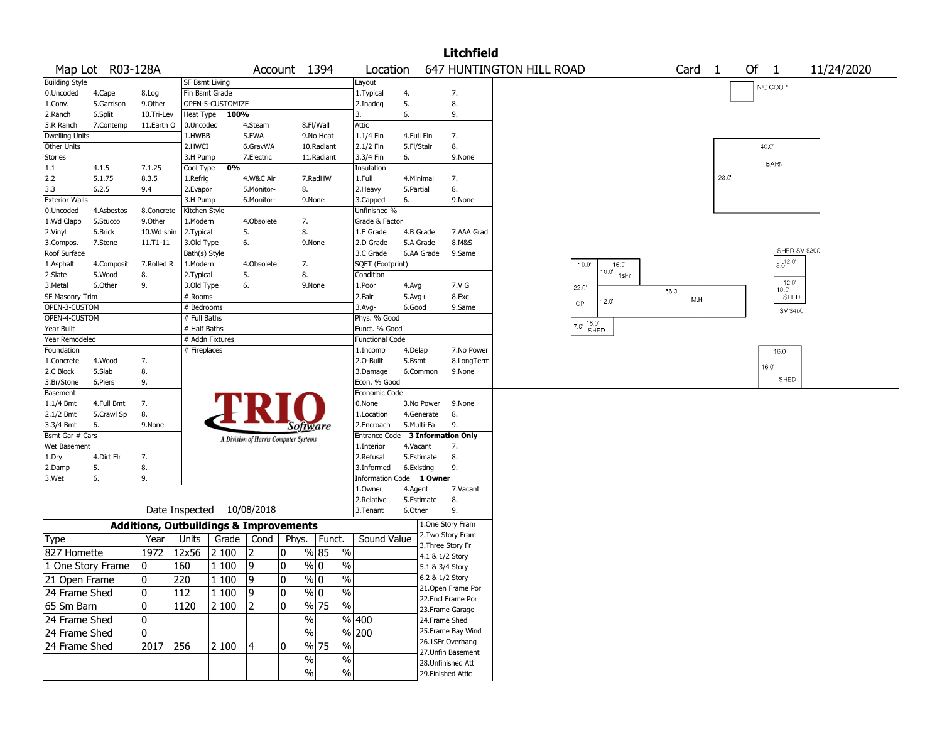|                              |                   |                                                   |                      |                  |                                       |              |                |            |               |                         |           |                        | <b>Litchfield</b>                     |                          |                                |              |  |              |                |      |    |              |                |            |  |
|------------------------------|-------------------|---------------------------------------------------|----------------------|------------------|---------------------------------------|--------------|----------------|------------|---------------|-------------------------|-----------|------------------------|---------------------------------------|--------------------------|--------------------------------|--------------|--|--------------|----------------|------|----|--------------|----------------|------------|--|
|                              | Map Lot R03-128A  |                                                   |                      |                  |                                       | Account 1394 |                |            |               | Location                |           |                        |                                       | 647 HUNTINGTON HILL ROAD |                                |              |  | Card         | $\overline{1}$ |      | Of | $\mathbf{1}$ |                | 11/24/2020 |  |
| <b>Building Style</b>        |                   |                                                   | SF Bsmt Living       |                  |                                       |              |                |            |               | Layout                  |           |                        |                                       |                          |                                |              |  |              |                |      |    | N/C COOP     |                |            |  |
| 0.Uncoded                    | 4.Cape            | 8.Log                                             |                      | Fin Bsmt Grade   |                                       |              |                |            |               | 1. Typical              | 4.        |                        | 7.                                    |                          |                                |              |  |              |                |      |    |              |                |            |  |
| 1.Conv.                      | 5.Garrison        | 9.Other                                           |                      | OPEN-5-CUSTOMIZE |                                       |              |                |            |               | 2.Inadeq                | 5.        |                        | 8.                                    |                          |                                |              |  |              |                |      |    |              |                |            |  |
| 2.Ranch                      | 6.Split           | 10.Tri-Lev                                        | Heat Type            | 100%             |                                       |              |                |            | 3.            |                         | 6.        |                        | 9.                                    |                          |                                |              |  |              |                |      |    |              |                |            |  |
| 3.R Ranch                    | 7.Contemp         | 11.Earth O                                        | 0.Uncoded            |                  | 4.Steam                               |              | 8.Fl/Wall      |            |               | Attic                   |           |                        |                                       |                          |                                |              |  |              |                |      |    |              |                |            |  |
| <b>Dwelling Units</b>        |                   |                                                   | 1.HWBB               |                  | 5.FWA                                 |              |                | 9.No Heat  |               | 1.1/4 Fin               |           | 4.Full Fin             | 7.                                    |                          |                                |              |  |              |                |      |    |              |                |            |  |
| Other Units                  |                   |                                                   | 2.HWCI               |                  | 6.GravWA                              |              |                | 10.Radiant |               | 2.1/2 Fin               |           | 5.Fl/Stair             | 8.                                    |                          |                                |              |  |              |                |      |    | 40.0         |                |            |  |
| Stories                      |                   |                                                   | 3.H Pump             |                  | 7.Electric                            |              |                | 11.Radiant |               | 3.3/4 Fin               | 6.        |                        | 9.None                                |                          |                                |              |  |              |                |      |    | <b>BARN</b>  |                |            |  |
| 1.1                          | 4.1.5             | 7.1.25                                            | Cool Type            | 0%               |                                       |              |                |            |               | Insulation              |           |                        |                                       |                          |                                |              |  |              |                | 28.0 |    |              |                |            |  |
| 2.2                          | 5.1.75<br>6.2.5   | 8.3.5                                             | 1.Refrig             |                  | 4.W&C Air                             |              | 7.RadHW        |            |               | 1.Full                  |           | 4.Minimal              | 7.<br>8.                              |                          |                                |              |  |              |                |      |    |              |                |            |  |
| 3.3<br><b>Exterior Walls</b> |                   | 9.4                                               | 2.Evapor<br>3.H Pump |                  | 5.Monitor-<br>6.Monitor-              |              | 8.<br>9.None   |            |               | 2. Heavy<br>3.Capped    | 5.Partial |                        | 9.None                                |                          |                                |              |  |              |                |      |    |              |                |            |  |
| 0.Uncoded                    | 4.Asbestos        | 8.Concrete                                        | Kitchen Style        |                  |                                       |              |                |            |               | Unfinished %            | 6.        |                        |                                       |                          |                                |              |  |              |                |      |    |              |                |            |  |
| 1.Wd Clapb                   | 5.Stucco          | 9.0ther                                           | 1.Modern             |                  | 4.Obsolete                            |              | 7.             |            |               | Grade & Factor          |           |                        |                                       |                          |                                |              |  |              |                |      |    |              |                |            |  |
| 2.Vinyl                      | 6.Brick           | 10.Wd shin                                        | 2. Typical           |                  | 5.                                    |              | 8.             |            |               | 1.E Grade               |           | 4.B Grade              | 7.AAA Grad                            |                          |                                |              |  |              |                |      |    |              |                |            |  |
| 3.Compos.                    | 7.Stone           | 11.T1-11                                          | 3.Old Type           |                  | 6.                                    |              | 9.None         |            |               | 2.D Grade               |           | 5.A Grade              | 8.M&S                                 |                          |                                |              |  |              |                |      |    |              |                |            |  |
| Roof Surface                 |                   |                                                   | Bath(s) Style        |                  |                                       |              |                |            |               | 3.C Grade               |           | 6.AA Grade             | 9.Same                                |                          |                                |              |  |              |                |      |    |              | SHED SV \$200  |            |  |
| 1.Asphalt                    | 4.Composit        | 7.Rolled R                                        | 1.Modern             |                  | 4.Obsolete                            |              | 7.             |            |               | SQFT (Footprint)        |           |                        |                                       |                          | $10.0^{\circ}$                 | 16.0         |  |              |                |      |    |              | $8.0^{12.07}$  |            |  |
| 2.Slate                      | 5.Wood            | 8.                                                | 2. Typical           |                  | 5.                                    |              | 8.             |            |               | Condition               |           |                        |                                       |                          |                                | $10.0'$ 1sFr |  |              |                |      |    |              |                |            |  |
| 3.Metal                      | 6.Other           | 9.                                                | 3.Old Type           |                  | 6.                                    |              | 9.None         |            |               | 1.Poor                  | 4.Avg     |                        | 7.V G                                 |                          | 22.0                           |              |  |              |                |      |    |              | 12.0'<br>10.07 |            |  |
| SF Masonry Trim              |                   |                                                   | # Rooms              |                  |                                       |              |                |            |               | 2.Fair                  | $5.Avg+$  |                        | 8.Exc                                 |                          |                                |              |  | 56.0<br>M.H. |                |      |    |              | SHED           |            |  |
| OPEN-3-CUSTOM                |                   |                                                   | # Bedrooms           |                  |                                       |              |                |            |               | 3.Avg-                  | 6.Good    |                        | 9.Same                                |                          | OP                             | 12.0'        |  |              |                |      |    |              | SV \$400       |            |  |
| OPEN-4-CUSTOM                |                   |                                                   | # Full Baths         |                  |                                       |              |                |            |               | Phys. % Good            |           |                        |                                       |                          |                                |              |  |              |                |      |    |              |                |            |  |
| Year Built                   |                   |                                                   | # Half Baths         |                  |                                       |              |                |            |               | Funct. % Good           |           |                        |                                       |                          | $(7.0, \frac{16.0}{\epsilon})$ | SHED         |  |              |                |      |    |              |                |            |  |
| Year Remodeled               |                   |                                                   |                      | # Addn Fixtures  |                                       |              |                |            |               | <b>Functional Code</b>  |           |                        |                                       |                          |                                |              |  |              |                |      |    |              |                |            |  |
| Foundation                   |                   |                                                   | # Fireplaces         |                  |                                       |              |                |            |               | 1.Incomp                | 4.Delap   |                        | 7.No Power                            |                          |                                |              |  |              |                |      |    |              | 16.0           |            |  |
| 1.Concrete                   | 4.Wood            | 7.                                                |                      |                  |                                       |              |                |            |               | 2.0-Built               | 5.Bsmt    |                        | 8.LongTerm                            |                          |                                |              |  |              |                |      |    | 16.0'        |                |            |  |
| 2.C Block                    | 5.Slab            | 8.                                                |                      |                  |                                       |              |                |            |               | 3.Damage                |           | 6.Common               | 9.None                                |                          |                                |              |  |              |                |      |    |              |                |            |  |
| 3.Br/Stone                   | 6.Piers           | 9.                                                |                      |                  |                                       |              |                |            |               | Econ. % Good            |           |                        |                                       |                          |                                |              |  |              |                |      |    |              | SHED           |            |  |
| Basement                     |                   |                                                   |                      |                  |                                       |              |                |            |               | <b>Economic Code</b>    |           |                        |                                       |                          |                                |              |  |              |                |      |    |              |                |            |  |
| $1.1/4$ Bmt                  | 4.Full Bmt        | 7.                                                |                      |                  |                                       |              |                |            |               | 0.None                  |           | 3.No Power             | 9.None                                |                          |                                |              |  |              |                |      |    |              |                |            |  |
| 2.1/2 Bmt                    | 5.Crawl Sp        | 8.                                                |                      |                  |                                       |              |                |            |               | 1.Location              |           | 4.Generate             | 8.                                    |                          |                                |              |  |              |                |      |    |              |                |            |  |
| 3.3/4 Bmt                    | 6.                | 9.None                                            |                      |                  |                                       |              | Software       |            |               | 2.Encroach              |           | 5.Multi-Fa             | 9.                                    |                          |                                |              |  |              |                |      |    |              |                |            |  |
| Bsmt Gar # Cars              |                   |                                                   |                      |                  | A Division of Harris Computer Systems |              |                |            |               | <b>Entrance Code</b>    |           |                        | <b>3 Information Only</b>             |                          |                                |              |  |              |                |      |    |              |                |            |  |
| Wet Basement                 | 4.Dirt Flr        |                                                   |                      |                  |                                       |              |                |            |               | 1.Interior<br>2.Refusal |           | 4.Vacant<br>5.Estimate | 7.<br>8.                              |                          |                                |              |  |              |                |      |    |              |                |            |  |
| 1.Dry<br>2.Damp              | 5.                | 7.<br>8.                                          |                      |                  |                                       |              |                |            |               | 3.Informed              |           | 6.Existing             | 9.                                    |                          |                                |              |  |              |                |      |    |              |                |            |  |
| 3.Wet                        | 6.                | 9.                                                |                      |                  |                                       |              |                |            |               | Information Code        |           | 1 Owner                |                                       |                          |                                |              |  |              |                |      |    |              |                |            |  |
|                              |                   |                                                   |                      |                  |                                       |              |                |            |               | 1.0wner                 | 4.Agent   |                        | 7.Vacant                              |                          |                                |              |  |              |                |      |    |              |                |            |  |
|                              |                   |                                                   |                      |                  |                                       |              |                |            |               | 2.Relative              |           | 5.Estimate             | 8.                                    |                          |                                |              |  |              |                |      |    |              |                |            |  |
|                              |                   |                                                   |                      |                  | Date Inspected 10/08/2018             |              |                |            |               | 3.Tenant                | 6.Other   |                        | 9.                                    |                          |                                |              |  |              |                |      |    |              |                |            |  |
|                              |                   | <b>Additions, Outbuildings &amp; Improvements</b> |                      |                  |                                       |              |                |            |               |                         |           |                        | 1.One Story Fram                      |                          |                                |              |  |              |                |      |    |              |                |            |  |
| Type                         |                   | Year                                              | Units                | Grade            | Cond                                  | Phys.        |                | Funct.     |               | Sound Value             |           |                        | 2. Two Story Fram                     |                          |                                |              |  |              |                |      |    |              |                |            |  |
|                              |                   |                                                   |                      |                  |                                       |              |                |            |               |                         |           |                        | 3. Three Story Fr                     |                          |                                |              |  |              |                |      |    |              |                |            |  |
| 827 Homette                  |                   | 1972                                              | 12x56                | 2 100            | 12                                    | 10           | % 85           |            | $\%$          |                         |           |                        | 4.1 & 1/2 Story                       |                          |                                |              |  |              |                |      |    |              |                |            |  |
|                              | 1 One Story Frame | 0                                                 | 160                  | 1 100            | 19                                    | 0            | % 0            |            | $\%$          |                         |           |                        | 5.1 & 3/4 Story                       |                          |                                |              |  |              |                |      |    |              |                |            |  |
| 21 Open Frame                |                   | 0                                                 | 220                  | $1100$ 9         |                                       | 0            | $\frac{8}{10}$ |            | $\sqrt{6}$    |                         |           |                        | 6.2 & 1/2 Story                       |                          |                                |              |  |              |                |      |    |              |                |            |  |
| 24 Frame Shed                |                   | 0                                                 | 112                  | 1 100            | $ 9\rangle$                           | 0            | $\%$ 0         |            | $\sqrt{6}$    |                         |           |                        | 21.Open Frame Por                     |                          |                                |              |  |              |                |      |    |              |                |            |  |
| 65 Sm Barn                   |                   | 0                                                 | 1120                 | 2 100            | $ 2\rangle$                           | 10           | % 75           |            | %             |                         |           |                        | 22.Encl Frame Por                     |                          |                                |              |  |              |                |      |    |              |                |            |  |
|                              |                   |                                                   |                      |                  |                                       |              |                |            |               |                         |           |                        | 23. Frame Garage                      |                          |                                |              |  |              |                |      |    |              |                |            |  |
| 24 Frame Shed                |                   | 0                                                 |                      |                  |                                       |              | $\%$           |            | %  400        |                         |           |                        | 24.Frame Shed                         |                          |                                |              |  |              |                |      |    |              |                |            |  |
| 24 Frame Shed                |                   | 0                                                 |                      |                  |                                       |              | $\%$           |            | % 200         |                         |           |                        | 25. Frame Bay Wind                    |                          |                                |              |  |              |                |      |    |              |                |            |  |
| 24 Frame Shed                |                   | 2017 256                                          |                      | 2 100            | 4                                     | 0            | $\sqrt{0.75}$  |            | $\frac{1}{2}$ |                         |           |                        | 26.1SFr Overhang<br>27.Unfin Basement |                          |                                |              |  |              |                |      |    |              |                |            |  |
|                              |                   |                                                   |                      |                  |                                       |              | %              |            | %             |                         |           |                        | 28. Unfinished Att                    |                          |                                |              |  |              |                |      |    |              |                |            |  |
|                              |                   |                                                   |                      |                  |                                       |              | $\%$           |            | $\sqrt{6}$    |                         |           |                        | 29. Finished Attic                    |                          |                                |              |  |              |                |      |    |              |                |            |  |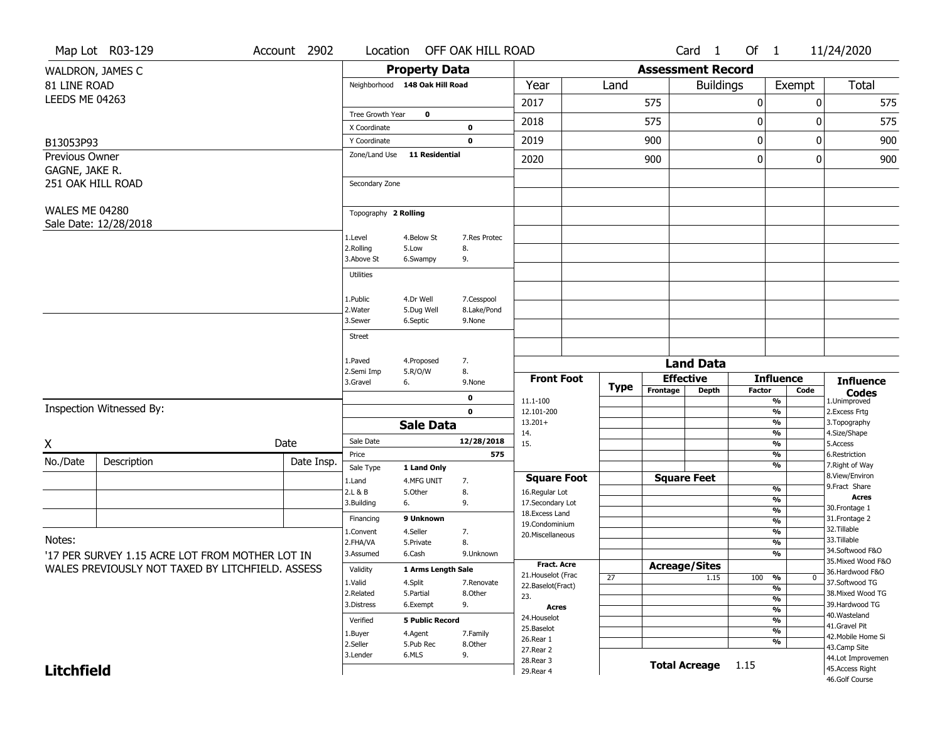|                       | Map Lot R03-129                                  | Account 2902         | Location                            |                         | OFF OAK HILL ROAD                 |                                  |                      |                  | Card 1               | Of $1$                   |                                   | 11/24/2020                           |  |
|-----------------------|--------------------------------------------------|----------------------|-------------------------------------|-------------------------|-----------------------------------|----------------------------------|----------------------|------------------|----------------------|--------------------------|-----------------------------------|--------------------------------------|--|
|                       | WALDRON, JAMES C                                 |                      | <b>Property Data</b>                |                         | <b>Assessment Record</b>          |                                  |                      |                  |                      |                          |                                   |                                      |  |
| 81 LINE ROAD          |                                                  |                      | Neighborhood 148 Oak Hill Road      |                         |                                   | Year                             | Land                 |                  | <b>Buildings</b>     |                          | Exempt                            | <b>Total</b>                         |  |
| <b>LEEDS ME 04263</b> |                                                  |                      |                                     |                         |                                   | 2017                             |                      | 575              |                      | 0                        | 0                                 | 575                                  |  |
|                       |                                                  |                      | Tree Growth Year                    | $\mathbf 0$             |                                   |                                  |                      |                  |                      |                          |                                   |                                      |  |
|                       |                                                  |                      | X Coordinate                        |                         | 0                                 | 2018                             |                      | 575              |                      | 0                        | 0                                 | 575                                  |  |
| B13053P93             |                                                  |                      | Y Coordinate                        |                         | $\mathbf 0$                       | 2019                             |                      | 900              |                      | 0                        | 0                                 | 900                                  |  |
| Previous Owner        |                                                  |                      | Zone/Land Use                       | <b>11 Residential</b>   |                                   | 2020                             |                      | 900              |                      | $\boldsymbol{0}$         | 0                                 | 900                                  |  |
| GAGNE, JAKE R.        |                                                  |                      |                                     |                         |                                   |                                  |                      |                  |                      |                          |                                   |                                      |  |
|                       | 251 OAK HILL ROAD                                |                      | Secondary Zone                      |                         |                                   |                                  |                      |                  |                      |                          |                                   |                                      |  |
| <b>WALES ME 04280</b> |                                                  |                      |                                     |                         |                                   |                                  |                      |                  |                      |                          |                                   |                                      |  |
|                       | Sale Date: 12/28/2018                            | Topography 2 Rolling |                                     |                         |                                   |                                  |                      |                  |                      |                          |                                   |                                      |  |
|                       |                                                  |                      | 1.Level                             | 4.Below St              | 7.Res Protec                      |                                  |                      |                  |                      |                          |                                   |                                      |  |
|                       |                                                  |                      | 2.Rolling                           | 5.Low                   | 8.                                |                                  |                      |                  |                      |                          |                                   |                                      |  |
|                       |                                                  |                      | 3.Above St                          | 6.Swampy                | 9.                                |                                  |                      |                  |                      |                          |                                   |                                      |  |
|                       |                                                  |                      | <b>Utilities</b>                    |                         |                                   |                                  |                      |                  |                      |                          |                                   |                                      |  |
|                       |                                                  |                      |                                     |                         |                                   |                                  |                      |                  |                      |                          |                                   |                                      |  |
|                       |                                                  |                      | 1.Public<br>2. Water                | 4.Dr Well<br>5.Dug Well | 7.Cesspool<br>8.Lake/Pond         |                                  |                      |                  |                      |                          |                                   |                                      |  |
|                       |                                                  |                      | 3.Sewer                             | 6.Septic                | 9.None                            |                                  |                      |                  |                      |                          |                                   |                                      |  |
|                       |                                                  |                      | <b>Street</b>                       |                         |                                   |                                  |                      |                  |                      |                          |                                   |                                      |  |
|                       |                                                  |                      |                                     |                         |                                   |                                  |                      |                  |                      |                          |                                   |                                      |  |
|                       |                                                  |                      | 1.Paved<br>2.Semi Imp               | 4.Proposed              | 7.<br>8.                          | <b>Land Data</b>                 |                      |                  |                      |                          |                                   |                                      |  |
|                       |                                                  |                      | 5.R/O/W<br>3.Gravel<br>6.<br>9.None |                         |                                   | <b>Front Foot</b>                |                      | <b>Effective</b> |                      |                          | <b>Influence</b>                  | <b>Influence</b>                     |  |
|                       |                                                  |                      |                                     | 0                       |                                   | Type                             | Frontage             | <b>Depth</b>     | <b>Factor</b>        | Code                     | <b>Codes</b>                      |                                      |  |
|                       | Inspection Witnessed By:                         |                      |                                     |                         | $\mathbf 0$                       | 11.1-100<br>12.101-200           |                      |                  |                      |                          | %<br>%                            | 1.Unimproved<br>2. Excess Frtg       |  |
|                       |                                                  |                      |                                     | <b>Sale Data</b>        |                                   | $13.201+$                        |                      |                  |                      |                          | $\frac{9}{6}$                     | 3. Topography                        |  |
|                       |                                                  |                      | Sale Date                           |                         | 12/28/2018                        | 14.                              |                      |                  |                      |                          | %                                 | 4.Size/Shape                         |  |
| X                     |                                                  | Date                 | Price                               |                         | 575                               | 15.                              |                      |                  |                      |                          | %<br>%                            | 5.Access<br>6.Restriction            |  |
| No./Date              | Description                                      | Date Insp.           | Sale Type                           | 1 Land Only             |                                   |                                  |                      |                  |                      |                          | %                                 | 7. Right of Way                      |  |
|                       |                                                  |                      | 1.Land                              | 4.MFG UNIT              | 7.                                | <b>Square Foot</b>               |                      |                  | <b>Square Feet</b>   |                          |                                   | 8.View/Environ                       |  |
|                       |                                                  |                      | 2.L & B                             | 5.Other                 | 8.                                | 16.Regular Lot                   |                      |                  |                      |                          | %                                 | 9. Fract Share<br><b>Acres</b>       |  |
|                       |                                                  |                      | 6.<br>3.Building                    |                         | 9.                                | 17.Secondary Lot                 |                      |                  |                      |                          | %<br>$\frac{9}{6}$                | 30.Frontage 1                        |  |
|                       |                                                  |                      | Financing                           | 9 Unknown               |                                   | 18.Excess Land<br>19.Condominium |                      |                  |                      |                          | $\overline{\frac{9}{6}}$          | 31. Frontage 2                       |  |
|                       |                                                  |                      | 1.Convent                           | 4.Seller                | 7.                                | 20.Miscellaneous                 |                      |                  |                      |                          | $\frac{9}{6}$                     | 32.Tillable                          |  |
| Notes:                |                                                  |                      | 2.FHA/VA                            | 5.Private               | 8.                                |                                  |                      |                  |                      |                          | $\overline{\frac{9}{6}}$          | 33.Tillable<br>34.Softwood F&O       |  |
|                       | '17 PER SURVEY 1.15 ACRE LOT FROM MOTHER LOT IN  | 3.Assumed            | 6.Cash                              | 9.Unknown               |                                   |                                  |                      |                  |                      | $\overline{\frac{9}{6}}$ | 35. Mixed Wood F&O                |                                      |  |
|                       | WALES PREVIOUSLY NOT TAXED BY LITCHFIELD. ASSESS | Validity             | 1 Arms Length Sale                  |                         | Fract. Acre<br>21. Houselot (Frac |                                  | <b>Acreage/Sites</b> |                  |                      |                          | 36.Hardwood F&O                   |                                      |  |
|                       |                                                  |                      | 1.Valid                             | 4.Split                 | 7.Renovate                        | 22.Baselot(Fract)                | 27                   |                  | 1.15                 | 100                      | %<br>$\mathbf 0$<br>$\frac{9}{6}$ | 37.Softwood TG                       |  |
|                       |                                                  |                      | 2.Related                           | 5.Partial               | 8.Other                           | 23.                              |                      |                  |                      |                          | $\frac{9}{6}$                     | 38. Mixed Wood TG                    |  |
|                       |                                                  |                      | 3.Distress                          | 6.Exempt                | 9.                                | <b>Acres</b>                     |                      |                  |                      |                          | $\frac{9}{6}$                     | 39.Hardwood TG                       |  |
|                       |                                                  |                      | Verified                            | <b>5 Public Record</b>  |                                   | 24. Houselot                     |                      |                  |                      |                          | $\frac{9}{6}$                     | 40. Wasteland<br>41.Gravel Pit       |  |
|                       |                                                  |                      |                                     |                         |                                   |                                  |                      |                  |                      |                          |                                   |                                      |  |
|                       |                                                  |                      | 1.Buyer                             | 4.Agent                 | 7.Family                          | 25.Baselot                       |                      |                  |                      |                          | $\frac{9}{6}$                     | 42. Mobile Home Si                   |  |
|                       |                                                  |                      | 2.Seller                            | 5.Pub Rec               | 8.Other                           | 26.Rear 1                        |                      |                  |                      |                          | $\frac{9}{6}$                     | 43.Camp Site                         |  |
| <b>Litchfield</b>     |                                                  |                      | 3.Lender                            | 6.MLS                   | 9.                                | 27. Rear 2<br>28. Rear 3         |                      |                  | <b>Total Acreage</b> | 1.15                     |                                   | 44.Lot Improvemen<br>45.Access Right |  |